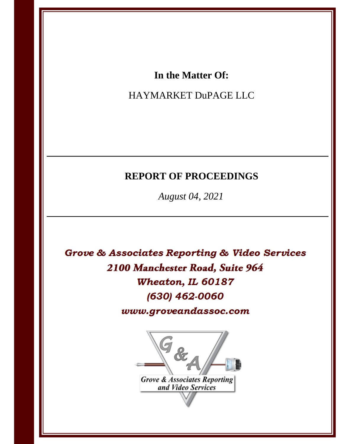## In the Matter Of:

# HAYMARKET DuPAGE LLC

# **REPORT OF PROCEEDINGS**

August 04, 2021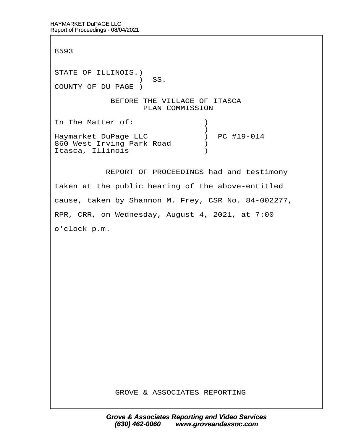8593

STATE OF ILLINOIS.) ) SS. COUNTY OF DU PAGE ) BEFORE THE VILLAGE OF ITASCA PLAN COMMISSION In The Matter of:  $\qquad \qquad$  )  $\hspace{0.5cm}$   $\hspace{0.5cm}$   $\hspace{0.5cm}$   $\hspace{0.5cm}$   $\hspace{0.5cm}$   $\hspace{0.5cm}$   $\hspace{0.5cm}$   $\hspace{0.5cm}$   $\hspace{0.5cm}$   $\hspace{0.5cm}$   $\hspace{0.5cm}$   $\hspace{0.5cm}$   $\hspace{0.5cm}$   $\hspace{0.5cm}$   $\hspace{0.5cm}$   $\hspace{0.5cm}$   $\hspace{0.5cm}$   $\hspace{0.5cm}$   $\hspace{$ Haymarket DuPage LLC  $\qquad \qquad$  ) PC #19-014 860 West Irving Park Road ) Itasca, Illinois (1998)

REPORT OF PROCEEDINGS had and testimony

taken at the public hearing of the above-entitled

cause, taken by Shannon M. Frey, CSR No. 84-002277,

RPR, CRR, on Wednesday, August 4, 2021, at 7:00

o'clock p.m.

GROVE & ASSOCIATES REPORTING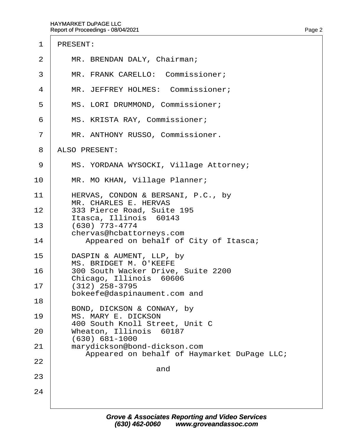- 2 | MR. BRENDAN DALY, Chairman;
- 3 | MR. FRANK CARELLO: Commissioner;
- 4 | MR. JEFFREY HOLMES: Commissioner;
- 5 | MS. LORI DRUMMOND, Commissioner;
- 6 | MS. KRISTA RAY, Commissioner;
- 7 | MR. ANTHONY RUSSO, Commissioner.
- 8 ALSO PRESENT:
- 9 | MS. YORDANA WYSOCKI, Village Attorney;
- 10 | MR. MO KHAN, Village Planner;
- 11 | HERVAS, CONDON & BERSANI, P.C., by MR. CHARLES E. HERVAS
- 12 | 333 Pierce Road, Suite 195 Itasca, Illinois 60143
- $13 \cdot (630)$  773-4774 chervas@hcbattorneys.com
- 14 | Appeared on behalf of City of Itasca;
- 15 | DASPIN & AUMENT, LLP, by MS. BRIDGET M. O'KEEFE
- 16 | 300 South Wacker Drive, Suite 2200 Chicago, Illinois 60606
- $17 \mid (312)$  258-3795
- bokeefe@daspinaument.com and 18
- BOND, DICKSON & CONWAY, by 19 | MS. MARY E. DICKSON
- 400 South Knoll Street, Unit C
- 20 | Wheaton, Illinois 60187
- · · · · (630) 681-1000 21 | marydickson@bond-dickson.com

and

Appeared on behalf of Haymarket DuPage LLC;

22

23

24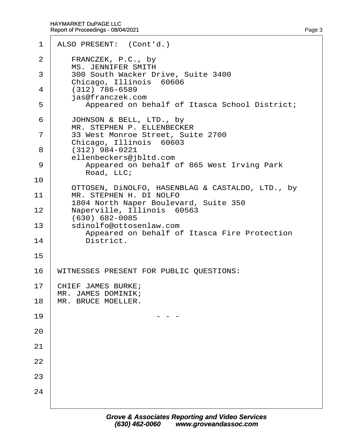|        | 1 ALSO PRESENT: (Cont'd.)                                                                   |
|--------|---------------------------------------------------------------------------------------------|
| 2      | FRANCZEK, P.C., by<br><b>MS. JENNIFER SMITH</b>                                             |
| 3      | 300 South Wacker Drive, Suite 3400<br>Chicago, Illinois 60606                               |
| 4      | (312) 786-6589<br>jas@franczek.com                                                          |
| 5      | Appeared on behalf of Itasca School District;                                               |
| 6<br>7 | JOHNSON & BELL, LTD., by<br>MR. STEPHEN P. ELLENBECKER<br>33 West Monroe Street, Suite 2700 |
| 8      | Chicago, Illinois 60603<br>$(312)$ 984-0221                                                 |
| 9      | ellenbeckers@jbltd.com<br>Appeared on behalf of 865 West Irving Park<br>Road, LLC;          |
| 10     | OTTOSEN, DINOLFO, HASENBLAG & CASTALDO, LTD., by                                            |
| 11     | MR. STEPHEN H. DI NOLFO<br>1804 North Naper Boulevard, Suite 350                            |
| 12     | Naperville, Illinois 60563<br>(630) 682-0085                                                |
| 13     | sdinolfo@ottosenlaw.com<br>Appeared on behalf of Itasca Fire Protection                     |
| 14     | District.                                                                                   |
| 15     |                                                                                             |
| 16     | WITNESSES PRESENT FOR PUBLIC QUESTIONS:                                                     |
| 17     | CHIEF JAMES BURKE;<br>MR. JAMES DOMINIK;                                                    |
| 18     | MR. BRUCE MOELLER.                                                                          |
| 19     |                                                                                             |
| 20     |                                                                                             |
| 21     |                                                                                             |
| 22     |                                                                                             |
| 23     |                                                                                             |
| 24     |                                                                                             |
|        |                                                                                             |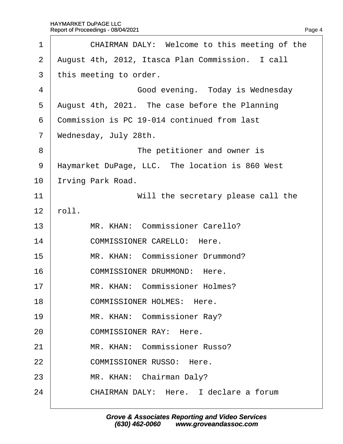<span id="page-4-0"></span>

| 1              | CHAIRMAN DALY: Welcome to this meeting of the    |  |
|----------------|--------------------------------------------------|--|
| $\overline{2}$ | August 4th, 2012, Itasca Plan Commission. I call |  |
| 3              | this meeting to order.                           |  |
| 4              | Good evening. Today is Wednesday                 |  |
| 5              | August 4th, 2021. The case before the Planning   |  |
| 6              | Commission is PC 19-014 continued from last      |  |
| $\overline{7}$ | Wednesday, July 28th.                            |  |
| 8              | The petitioner and owner is                      |  |
| 9              | Haymarket DuPage, LLC. The location is 860 West  |  |
| 10             | rving Park Road.                                 |  |
| 11             | Will the secretary please call the               |  |
| 12             | roll.                                            |  |
| 13             | MR. KHAN: Commissioner Carello?                  |  |
| 14             | <b>COMMISSIONER CARELLO: Here.</b>               |  |
| 15             | MR. KHAN: Commissioner Drummond?                 |  |
| 16             | <b>COMMISSIONER DRUMMOND: Here.</b>              |  |
| 17             | MR. KHAN: Commissioner Holmes?                   |  |
| 18             | <b>COMMISSIONER HOLMES: Here.</b>                |  |
| 19             | MR. KHAN: Commissioner Ray?                      |  |
| 20             | <b>COMMISSIONER RAY: Here.</b>                   |  |
| 21             | MR. KHAN: Commissioner Russo?                    |  |
| 22             | <b>COMMISSIONER RUSSO: Here.</b>                 |  |
| 23             | MR. KHAN: Chairman Daly?                         |  |
| 24             | CHAIRMAN DALY: Here. I declare a forum           |  |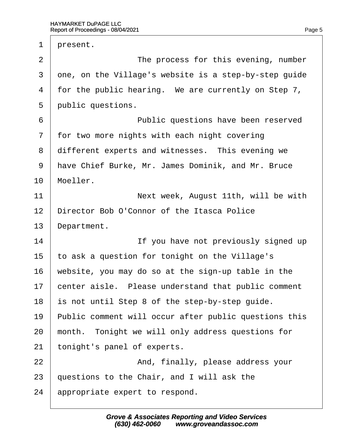<span id="page-5-0"></span>1 present. 2 **I** The process for this evening, number 3 dne, on the Village's website is a step-by-step quide 4 for the public hearing. We are currently on Step 7, 5 **public questions.** 6 **b Public questions have been reserved** 7 for two more nights with each night covering 8 different experts and witnesses. This evening we 9 Have Chief Burke, Mr. James Dominik, and Mr. Bruce 10 Moeller. 11 **Next week, August 11th, will be with** 12 Director Bob O'Connor of the Itasca Police 13 Department. 14 **If you have not previously signed up** 15 to ask a question for tonight on the Village's 16 website, you may do so at the sign-up table in the 17 benter aisle. Please understand that public comment 18 is not until Step 8 of the step-by-step guide. 19 Public comment will occur after public questions this 20 month. Tonight we will only address questions for 21 tonight's panel of experts. 22 **And, finally, please address your** 23 questions to the Chair, and I will ask the 24 appropriate expert to respond.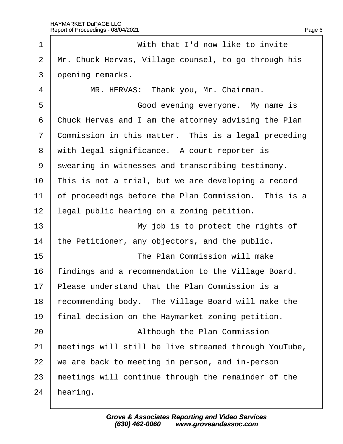<span id="page-6-0"></span>

| 1              | With that I'd now like to invite                      |
|----------------|-------------------------------------------------------|
| 2              | Mr. Chuck Hervas, Village counsel, to go through his  |
| 3              | dpening remarks.                                      |
| 4              | MR. HERVAS: Thank you, Mr. Chairman.                  |
| 5              | Good evening everyone. My name is                     |
| 6              | Chuck Hervas and I am the attorney advising the Plan  |
| $\overline{7}$ | Commission in this matter. This is a legal preceding  |
| 8              | with legal significance. A court reporter is          |
| 9              | swearing in witnesses and transcribing testimony.     |
| 10             | This is not a trial, but we are developing a record   |
| 11             | of proceedings before the Plan Commission. This is a  |
| 12             | legal public hearing on a zoning petition.            |
| 13             | My job is to protect the rights of                    |
| 14             | the Petitioner, any objectors, and the public.        |
| 15             | The Plan Commission will make                         |
| 16             | findings and a recommendation to the Village Board.   |
| 17             | Please understand that the Plan Commission is a       |
| 18             | recommending body. The Village Board will make the    |
| 19             | final decision on the Haymarket zoning petition.      |
| 20             | Although the Plan Commission                          |
| 21             | meetings will still be live streamed through YouTube, |
| 22             | we are back to meeting in person, and in-person       |
| 23             | meetings will continue through the remainder of the   |
| 24             | hearing.                                              |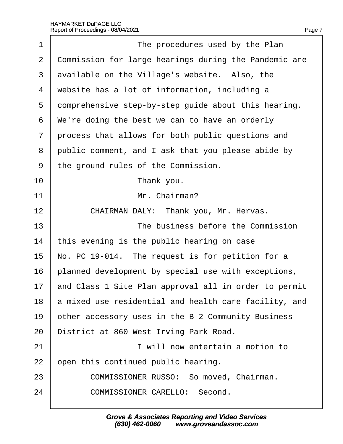<span id="page-7-0"></span>

| 1              | The procedures used by the Plan                       |
|----------------|-------------------------------------------------------|
| $\overline{2}$ | Commission for large hearings during the Pandemic are |
| 3              | available on the Village's website. Also, the         |
| 4              | website has a lot of information, including a         |
| 5              | domprehensive step-by-step guide about this hearing.  |
| 6              | We're doing the best we can to have an orderly        |
| $\overline{7}$ | process that allows for both public questions and     |
| 8              | public comment, and I ask that you please abide by    |
| 9              | the ground rules of the Commission.                   |
| 10             | Thank you.                                            |
| 11             | Mr. Chairman?                                         |
| 12             | CHAIRMAN DALY: Thank you, Mr. Hervas.                 |
| 13             | The business before the Commission                    |
| 14             | this evening is the public hearing on case            |
| 15             | No. PC 19-014. The request is for petition for a      |
| 16             | planned development by special use with exceptions,   |
| 17             | and Class 1 Site Plan approval all in order to permit |
| 18             | a mixed use residential and health care facility, and |
| 19             | other accessory uses in the B-2 Community Business    |
| 20             | District at 860 West Irving Park Road.                |
| 21             | I will now entertain a motion to                      |
| 22             | open this continued public hearing.                   |
| 23             | <b>COMMISSIONER RUSSO: So moved, Chairman.</b>        |
| 24             | <b>COMMISSIONER CARELLO: Second.</b>                  |
|                |                                                       |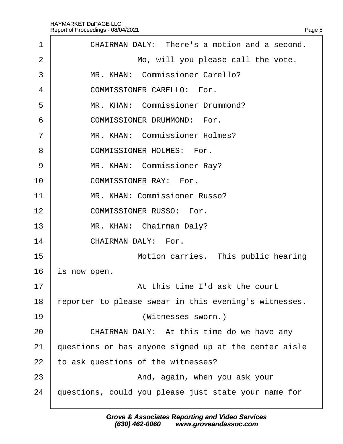<span id="page-8-0"></span>

| 1              | CHAIRMAN DALY: There's a motion and a second.         |
|----------------|-------------------------------------------------------|
| 2              | Mo, will you please call the vote.                    |
| 3              | MR. KHAN: Commissioner Carello?                       |
| 4              | <b>COMMISSIONER CARELLO: For.</b>                     |
| 5              | MR. KHAN: Commissioner Drummond?                      |
| 6              | <b>COMMISSIONER DRUMMOND: For.</b>                    |
| $\overline{7}$ | MR. KHAN: Commissioner Holmes?                        |
| 8              | <b>COMMISSIONER HOLMES: For.</b>                      |
| 9              | MR. KHAN: Commissioner Ray?                           |
| 10             | <b>COMMISSIONER RAY: For.</b>                         |
| 11             | MR. KHAN: Commissioner Russo?                         |
| 12             | <b>COMMISSIONER RUSSO: For.</b>                       |
| 13             | MR. KHAN: Chairman Daly?                              |
| 14             | <b>CHAIRMAN DALY: For.</b>                            |
| 15             | Motion carries. This public hearing                   |
| 16             | is now open.                                          |
| 17             | At this time I'd ask the court                        |
| 18             | eporter to please swear in this evening's witnesses.  |
| 19             | (Witnesses sworn.)                                    |
| 20             | CHAIRMAN DALY: At this time do we have any            |
| 21             | questions or has anyone signed up at the center aisle |
| 22             | to ask questions of the witnesses?                    |
| 23             | And, again, when you ask your                         |
| 24             | questions, could you please just state your name for  |
|                |                                                       |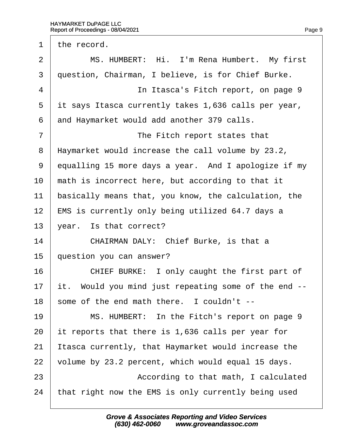<span id="page-9-0"></span>1 the record.

| $\overline{2}$ | MS. HUMBERT: Hi. I'm Rena Humbert. My first          |
|----------------|------------------------------------------------------|
| 3              | question, Chairman, I believe, is for Chief Burke.   |
| 4              | In Itasca's Fitch report, on page 9                  |
| 5              | it says Itasca currently takes 1,636 calls per year, |
| 6              | and Haymarket would add another 379 calls.           |
| $\overline{7}$ | The Fitch report states that                         |
| 8              | Haymarket would increase the call volume by 23.2,    |
| 9              | equalling 15 more days a year. And I apologize if my |
| 10             | math is incorrect here, but according to that it     |
| 11             | basically means that, you know, the calculation, the |
| 12             | EMS is currently only being utilized 64.7 days a     |
| 13             | year. Is that correct?                               |
| 14             | CHAIRMAN DALY: Chief Burke, is that a                |
| 15             | question you can answer?                             |
| 16             | CHIEF BURKE: I only caught the first part of         |
| 17             | it. Would you mind just repeating some of the end -- |
| 18             | some of the end math there. I couldn't --            |
| 19             | MS. HUMBERT: In the Fitch's report on page 9         |
| 20             | It reports that there is 1,636 calls per year for    |
| 21             | tasca currently, that Haymarket would increase the   |
| 22             | volume by 23.2 percent, which would equal 15 days.   |
| 23             | According to that math, I calculated                 |
| 24             | that right now the EMS is only currently being used  |
|                |                                                      |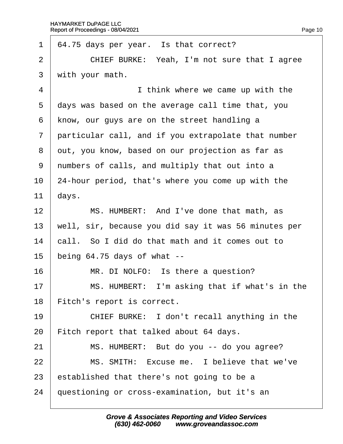<span id="page-10-0"></span>

| $\mathbf 1$     | 64.75 days per year. Is that correct?                |
|-----------------|------------------------------------------------------|
| $\overline{2}$  | CHIEF BURKE: Yeah, I'm not sure that I agree         |
| 3               | with your math.                                      |
| $\overline{4}$  | I think where we came up with the                    |
| 5               | days was based on the average call time that, you    |
| 6               | know, our guys are on the street handling a          |
| $\overline{7}$  | particular call, and if you extrapolate that number  |
| 8               | dut, you know, based on our projection as far as     |
| 9               | numbers of calls, and multiply that out into a       |
| 10 <sup>°</sup> | 24-hour period, that's where you come up with the    |
| 11              | days.                                                |
| 12              | MS. HUMBERT: And I've done that math, as             |
| 13              | well, sir, because you did say it was 56 minutes per |
| 14              | call. So I did do that math and it comes out to      |
| 15              | being 64.75 days of what --                          |
| 16              | MR. DI NOLFO: Is there a question?                   |
| 17              | MS. HUMBERT: I'm asking that if what's in the        |
| 18              | Fitch's report is correct.                           |
| 19              | CHIEF BURKE: I don't recall anything in the          |
| 20              | Fitch report that talked about 64 days.              |
| 21              | MS. HUMBERT: But do you -- do you agree?             |
| 22              | MS. SMITH: Excuse me. I believe that we've           |
| 23              | established that there's not going to be a           |
| 24              | questioning or cross-examination, but it's an        |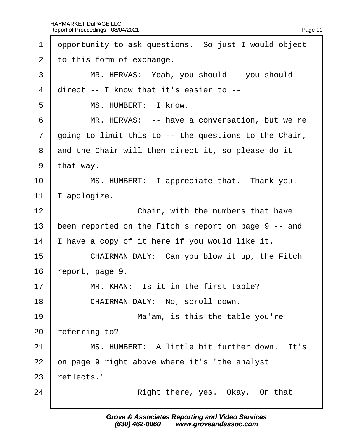<span id="page-11-0"></span>

| 1              | dpportunity to ask questions. So just I would object  |
|----------------|-------------------------------------------------------|
| $\overline{2}$ | to this form of exchange.                             |
| 3              | MR. HERVAS: Yeah, you should -- you should            |
| 4              | direct -- I know that it's easier to --               |
| 5              | MS. HUMBERT: I know.                                  |
| 6              | MR. HERVAS: -- have a conversation, but we're         |
| $\overline{7}$ | going to limit this to -- the questions to the Chair, |
| 8              | and the Chair will then direct it, so please do it    |
| 9              | that way.                                             |
| 10             | MS. HUMBERT: I appreciate that. Thank you.            |
| 11             | apologize.                                            |
| 12             | Chair, with the numbers that have                     |
| 13             | been reported on the Fitch's report on page 9 -- and  |
| 14             | have a copy of it here if you would like it.          |
| 15             | CHAIRMAN DALY: Can you blow it up, the Fitch          |
| 16             | report, page 9.                                       |
| 17             | MR. KHAN: Is it in the first table?                   |
| 18             | CHAIRMAN DALY: No, scroll down.                       |
| 19             | Ma'am, is this the table you're                       |
| 20             | referring to?                                         |
| 21             | MS. HUMBERT: A little bit further down. It's          |
| 22             | on page 9 right above where it's "the analyst         |
| 23             | reflects."                                            |
| 24             | Right there, yes. Okay. On that                       |
|                |                                                       |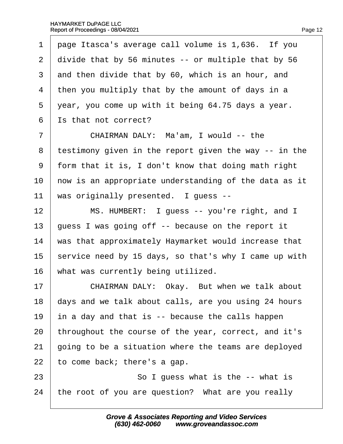<span id="page-12-0"></span>1 page Itasca's average call volume is 1,636. If you 2 divide that by 56 minutes -- or multiple that by 56 3 and then divide that by 60, which is an hour, and 4 then you multiply that by the amount of days in a 5 vear, you come up with it being 64.75 days a year. 6 **S** is that not correct? 7 | CHAIRMAN DALY: Ma'am, I would -- the 8 testimony given in the report given the way -- in the ·9· ·form that it is, I don't know that doing math right 10 how is an appropriate understanding of the data as it 11 was originally presented. I guess --12 | MS. HUMBERT: I guess -- you're right, and I 13 guess I was going off -- because on the report it 14 was that approximately Haymarket would increase that 15 service need by 15 days, so that's why I came up with 16 what was currently being utilized. 17 | CHAIRMAN DALY: Okay. But when we talk about 18 days and we talk about calls, are you using 24 hours 19  $\mu$  in a day and that is  $-$  because the calls happen 20 throughout the course of the year, correct, and it's 21 going to be a situation where the teams are deployed 22  $\pm$  to come back; there's a gap.  $23$   $\sim$  So I guess what is the  $\sim$  what is

24 the root of you are question? What are you really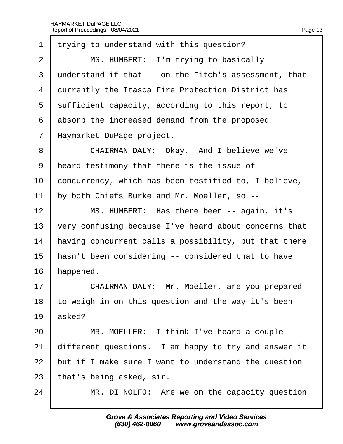<span id="page-13-0"></span>

| 1              | trying to understand with this question?              |
|----------------|-------------------------------------------------------|
| $\overline{2}$ | MS. HUMBERT: I'm trying to basically                  |
| 3              | understand if that -- on the Fitch's assessment, that |
| 4              | durrently the Itasca Fire Protection District has     |
| 5              | sufficient capacity, according to this report, to     |
| 6              | absorb the increased demand from the proposed         |
| $\overline{7}$ | Haymarket DuPage project.                             |
| 8              | CHAIRMAN DALY: Okay. And I believe we've              |
| 9              | heard testimony that there is the issue of            |
| 10             | concurrency, which has been testified to, I believe,  |
| 11             | by both Chiefs Burke and Mr. Moeller, so --           |
| 12             | MS. HUMBERT: Has there been -- again, it's            |
| 13             | very confusing because I've heard about concerns that |
| 14             | having concurrent calls a possibility, but that there |
| 15             | hasn't been considering -- considered that to have    |
| 16             | happened.                                             |
| 17             | CHAIRMAN DALY: Mr. Moeller, are you prepared          |
| 18             | to weigh in on this question and the way it's been    |
| 19             | asked?                                                |
| 20             | MR. MOELLER: I think I've heard a couple              |
| 21             | different questions. I am happy to try and answer it  |
| 22             | but if I make sure I want to understand the question  |
| 23             | that's being asked, sir.                              |
| 24             | MR. DI NOLFO: Are we on the capacity question         |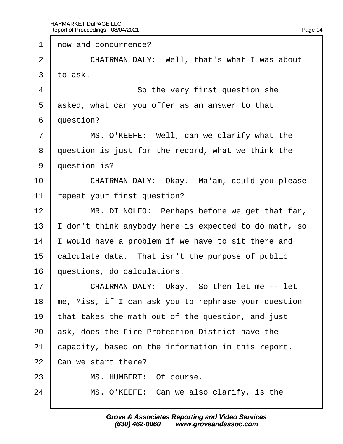<span id="page-14-0"></span>1 row and concurrence? 2 **CHAIRMAN DALY: Well, that's what I was about**  $3$  to ask. 4 **So the very first question she** 5 asked, what can you offer as an answer to that 6 duestion? 7 | MS. O'KEEFE: Well, can we clarify what the 8 duestion is just for the record, what we think the 9 duestion is? 10 | CHAIRMAN DALY: Okay. Ma'am, could you please 11  $\epsilon$  repeat your first question? 12 | MR. DI NOLFO: Perhaps before we get that far, 13 I don't think anybody here is expected to do math, so 14 vould have a problem if we have to sit there and 15 calculate data. That isn't the purpose of public 16 duestions, do calculations. 17 | CHAIRMAN DALY: Okay. So then let me -- let 18 me, Miss, if I can ask you to rephrase your question 19 that takes the math out of the question, and just 20 ask, does the Fire Protection District have the 21 capacity, based on the information in this report. 22 Can we start there? 23 | MS. HUMBERT: Of course.  $24$  | MS. O'KEEFE: Can we also clarify, is the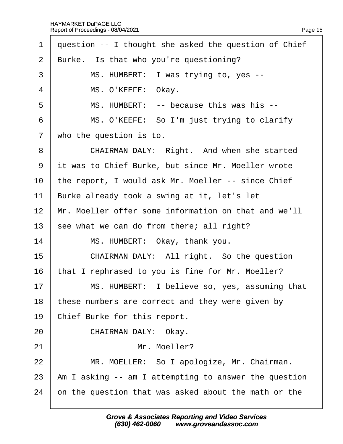<span id="page-15-0"></span>

| $\mathbf 1$    | question -- I thought she asked the question of Chief |
|----------------|-------------------------------------------------------|
| $\overline{2}$ | Burke. Is that who you're questioning?                |
| 3              | MS. HUMBERT: I was trying to, yes --                  |
| $\overline{4}$ | MS. O'KEEFE: Okay.                                    |
| 5              | MS. HUMBERT: -- because this was his --               |
| 6              | MS. O'KEEFE: So I'm just trying to clarify            |
| $\overline{7}$ | who the question is to.                               |
| 8              | CHAIRMAN DALY: Right. And when she started            |
| 9              | it was to Chief Burke, but since Mr. Moeller wrote    |
| 10             | the report, I would ask Mr. Moeller -- since Chief    |
| 11             | Burke already took a swing at it, let's let           |
| 12             | Mr. Moeller offer some information on that and we'll  |
| 13             | see what we can do from there; all right?             |
| 14             | MS. HUMBERT: Okay, thank you.                         |
| 15             | CHAIRMAN DALY: All right. So the question             |
| 16             | that I rephrased to you is fine for Mr. Moeller?      |
| 17             | MS. HUMBERT: I believe so, yes, assuming that         |
| 18             | these numbers are correct and they were given by      |
| 19             | Chief Burke for this report.                          |
| 20             | CHAIRMAN DALY: Okay.                                  |
| 21             | Mr. Moeller?                                          |
| 22             | MR. MOELLER: So I apologize, Mr. Chairman.            |
| 23             | Am I asking -- am I attempting to answer the question |
| 24             | on the question that was asked about the math or the  |
|                |                                                       |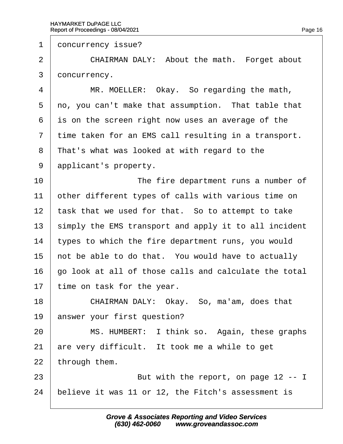<span id="page-16-0"></span>1 doncurrency issue?

2 | CHAIRMAN DALY: About the math. Forget about 3 doncurrency.

4 | MR. MOELLER: Okay. So regarding the math, 5 rol of you can't make that assumption. That table that 6 is on the screen right now uses an average of the 7 time taken for an EMS call resulting in a transport. 8 That's what was looked at with regard to the 9 applicant's property. 10 **I** The fire department runs a number of 11 bther different types of calls with various time on 12 task that we used for that. So to attempt to take 13 simply the EMS transport and apply it to all incident 14 types to which the fire department runs, you would 15 hot be able to do that. You would have to actually 16 go look at all of those calls and calculate the total 17  $\,$  time on task for the year. 18 | CHAIRMAN DALY: Okay. So, ma'am, does that 19 answer your first question? 20 | MS. HUMBERT: I think so. Again, these graphs 21 are very difficult. It took me a while to get 22 through them. 23 **But with the report, on page 12 -- I** 

24 believe it was 11 or 12, the Fitch's assessment is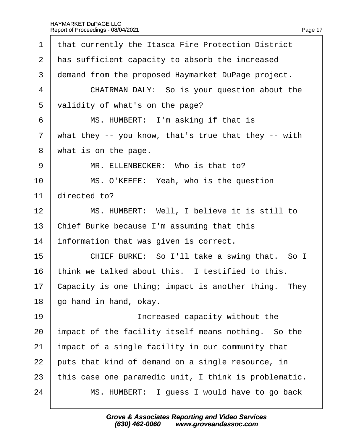|  | Page 17 |
|--|---------|
|  |         |

<span id="page-17-0"></span>

| 1              | that currently the Itasca Fire Protection District    |
|----------------|-------------------------------------------------------|
| 2              | has sufficient capacity to absorb the increased       |
| 3              | demand from the proposed Haymarket DuPage project.    |
| 4              | CHAIRMAN DALY: So is your question about the          |
| 5              | validity of what's on the page?                       |
| 6              | MS. HUMBERT: I'm asking if that is                    |
| $\overline{7}$ | what they -- you know, that's true that they -- with  |
| 8              | what is on the page.                                  |
| 9              | MR. ELLENBECKER: Who is that to?                      |
| 10             | MS. O'KEEFE: Yeah, who is the question                |
| 11             | directed to?                                          |
| 12             | MS. HUMBERT: Well, I believe it is still to           |
| 13             | Chief Burke because I'm assuming that this            |
| 14             | information that was given is correct.                |
| 15             | CHIEF BURKE: So I'll take a swing that. So I          |
| 16             | think we talked about this. I testified to this.      |
| 17             | Capacity is one thing; impact is another thing. They  |
| 18             | go hand in hand, okay.                                |
| 19             | Increased capacity without the                        |
| 20             | impact of the facility itself means nothing. So the   |
| 21             | impact of a single facility in our community that     |
| 22             | puts that kind of demand on a single resource, in     |
| 23             | this case one paramedic unit, I think is problematic. |
| 24             | MS. HUMBERT: I guess I would have to go back          |
|                |                                                       |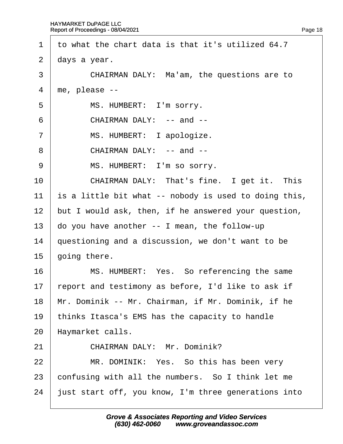<span id="page-18-0"></span>·1· ·to what the chart data is that it's utilized 64.7 2 days a year. 3 CHAIRMAN DALY: Ma'am, the questions are to  $4$  me, please  $-$ 5 | MS. HUMBERT: I'm sorry.  $6 \mid$  CHAIRMAN DALY: -- and --7 | MS. HUMBERT: I apologize.  $8 \mid$  CHAIRMAN DALY: -- and --9 | MS. HUMBERT: I'm so sorry. 10 **CHAIRMAN DALY: That's fine.** I get it. This 11 is a little bit what -- nobody is used to doing this, 12 but I would ask, then, if he answered your question, 13  $\mu$  do you have another -- I mean, the follow-up 14 guestioning and a discussion, we don't want to be 15  $\theta$  oing there. 16 **MS. HUMBERT: Yes. So referencing the same** 17 report and testimony as before, I'd like to ask if 18 Mr. Dominik -- Mr. Chairman, if Mr. Dominik, if he 19 thinks Itasca's EMS has the capacity to handle 20 Haymarket calls. 21 | CHAIRMAN DALY: Mr. Dominik? 22 | MR. DOMINIK: Yes. So this has been very 23 confusing with all the numbers. So I think let me 24 just start off, you know, I'm three generations into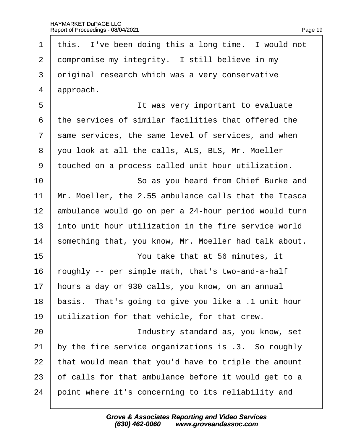<span id="page-19-0"></span>1 this. I've been doing this a long time. I would not 2 dompromise my integrity. I still believe in my 3 driginal research which was a very conservative 4 *approach.* 5 **b b b i lt** was very important to evaluate ·6· ·the services of similar facilities that offered the 7 same services, the same level of services, and when ·8· ·you look at all the calls, ALS, BLS, Mr. Moeller 9 touched on a process called unit hour utilization. 10 **So as you heard from Chief Burke and** 11 Mr. Moeller, the 2.55 ambulance calls that the Itasca 12 ambulance would go on per a 24-hour period would turn 13 into unit hour utilization in the fire service world 14 something that, you know, Mr. Moeller had talk about. 15 **I** You take that at 56 minutes, it 16 roughly -- per simple math, that's two-and-a-half 17 hours a day or 930 calls, you know, on an annual 18 basis. That's going to give you like a .1 unit hour 19 utilization for that vehicle, for that crew. 20 **Industry standard as, you know, set** 21 by the fire service organizations is .3. So roughly 22 that would mean that you'd have to triple the amount 23 b f calls for that ambulance before it would get to a 24 boint where it's concerning to its reliability and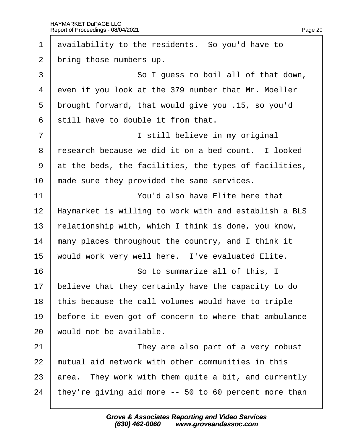<span id="page-20-0"></span>

| 1              | availability to the residents. So you'd have to       |
|----------------|-------------------------------------------------------|
| 2              | bring those numbers up.                               |
| 3              | So I guess to boil all of that down,                  |
| $\overline{4}$ | even if you look at the 379 number that Mr. Moeller   |
| 5              | brought forward, that would give you .15, so you'd    |
| 6              | still have to double it from that.                    |
| $\overline{7}$ | I still believe in my original                        |
| 8              | research because we did it on a bed count. I looked   |
| 9              | at the beds, the facilities, the types of facilities, |
| 10             | made sure they provided the same services.            |
| 11             | You'd also have Elite here that                       |
| 12             | Haymarket is willing to work with and establish a BLS |
| 13             | relationship with, which I think is done, you know,   |
| 14             | many places throughout the country, and I think it    |
| 15             | would work very well here. I've evaluated Elite.      |
| 16             | So to summarize all of this, I                        |
| 17             | believe that they certainly have the capacity to do   |
| 18             | this because the call volumes would have to triple    |
| 19             | before it even got of concern to where that ambulance |
| 20             | would not be available.                               |
| 21             | They are also part of a very robust                   |
| 22             | mutual aid network with other communities in this     |
| 23             | area. They work with them quite a bit, and currently  |
| 24             | they're giving aid more -- 50 to 60 percent more than |
|                |                                                       |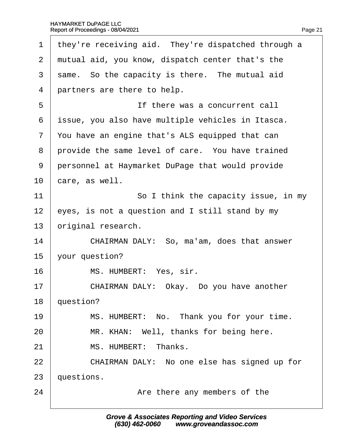<span id="page-21-0"></span>

| 1              | they're receiving aid. They're dispatched through a |
|----------------|-----------------------------------------------------|
| $\overline{2}$ | mutual aid, you know, dispatch center that's the    |
| 3              | same. So the capacity is there. The mutual aid      |
| 4              | partners are there to help.                         |
| 5              | If there was a concurrent call                      |
| 6              | issue, you also have multiple vehicles in Itasca.   |
| $\overline{7}$ | You have an engine that's ALS equipped that can     |
| 8              | provide the same level of care. You have trained    |
| 9              | personnel at Haymarket DuPage that would provide    |
| 10             | care, as well.                                      |
| 11             | So I think the capacity issue, in my                |
| 12             | eyes, is not a question and I still stand by my     |
| 13             | original research.                                  |
| 14             | CHAIRMAN DALY: So, ma'am, does that answer          |
| 15             | your question?                                      |
| 16             | MS. HUMBERT: Yes, sir.                              |
| 17             | CHAIRMAN DALY: Okay. Do you have another            |
| 18             | question?                                           |
| 19             | MS. HUMBERT: No. Thank you for your time.           |
| 20             | MR. KHAN: Well, thanks for being here.              |
| 21             | MS. HUMBERT: Thanks.                                |
| 22             | CHAIRMAN DALY: No one else has signed up for        |
| 23             | questions.                                          |
| 24             | Are there any members of the                        |
|                |                                                     |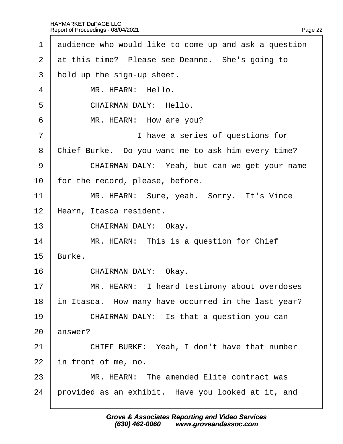<span id="page-22-0"></span>

| $\mathbf 1$           | audience who would like to come up and ask a question |
|-----------------------|-------------------------------------------------------|
| $\mathbf{2}^{\prime}$ | at this time? Please see Deanne. She's going to       |
| 3                     | hold up the sign-up sheet.                            |
| 4                     | MR. HEARN: Hello.                                     |
| 5                     | <b>CHAIRMAN DALY: Hello.</b>                          |
| 6                     | MR. HEARN: How are you?                               |
| $\overline{7}$        | I have a series of questions for                      |
| 8                     | Chief Burke. Do you want me to ask him every time?    |
| 9                     | CHAIRMAN DALY: Yeah, but can we get your name         |
| 10                    | for the record, please, before.                       |
| 11                    | MR. HEARN: Sure, yeah. Sorry. It's Vince              |
| 12                    | Hearn, Itasca resident.                               |
| 13                    | CHAIRMAN DALY: Okay.                                  |
| 14                    | MR. HEARN: This is a question for Chief               |
| 15                    | Burke.                                                |
| 16                    | CHAIRMAN DALY: Okay.                                  |
| 17                    | MR. HEARN: I heard testimony about overdoses          |
| 18                    | in Itasca. How many have occurred in the last year?   |
| 19                    | CHAIRMAN DALY: Is that a question you can             |
| 20                    | answer?                                               |
| 21                    | CHIEF BURKE: Yeah, I don't have that number           |
| 22                    | in front of me, no.                                   |
| 23                    | MR. HEARN: The amended Elite contract was             |
| 24                    | provided as an exhibit. Have you looked at it, and    |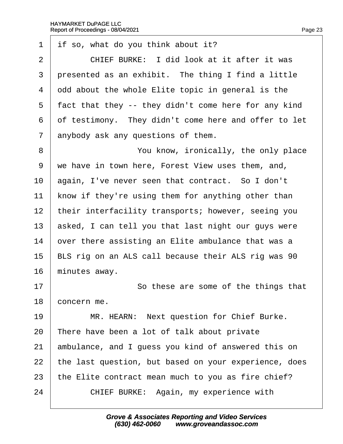<span id="page-23-0"></span>1 if so, what do you think about it? 2  $\parallel$  CHIEF BURKE: I did look at it after it was 3 presented as an exhibit. The thing I find a little 4 ddd about the whole Elite topic in general is the 5 fact that they -- they didn't come here for any kind 6 of testimony. They didn't come here and offer to let 7 anybody ask any questions of them. 8 **8** You know, ironically, the only place ·9· ·we have in town here, Forest View uses them, and, 10 again, I've never seen that contract. So I don't 11 know if they're using them for anything other than 12 their interfacility transports; however, seeing you 13 asked, I can tell you that last night our guys were 14 by out there assisting an Elite ambulance that was a 15 BLS rig on an ALS call because their ALS rig was 90 16 minutes away. 17 **So these are some of the things that** 18 concern me. 19 | MR. HEARN: Next question for Chief Burke. 20 There have been a lot of talk about private 21 ambulance, and I guess you kind of answered this on 22 the last question, but based on your experience, does 23 the Elite contract mean much to you as fire chief? 24 | CHIEF BURKE: Again, my experience with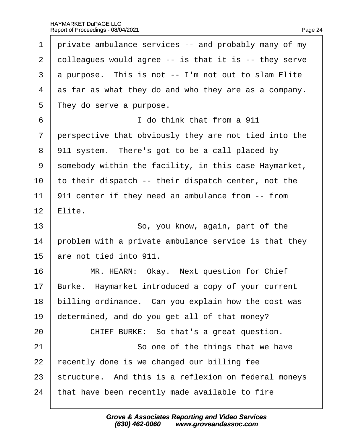<span id="page-24-0"></span>

| 1              | private ambulance services -- and probably many of my |
|----------------|-------------------------------------------------------|
| $\overline{2}$ | dolleagues would agree -- is that it is -- they serve |
| 3              | a purpose. This is not -- I'm not out to slam Elite   |
| $\overline{4}$ | as far as what they do and who they are as a company. |
| 5              | They do serve a purpose.                              |
| 6              | I do think that from a 911                            |
| $\overline{7}$ | perspective that obviously they are not tied into the |
| 8              | 911 system. There's got to be a call placed by        |
| 9              | somebody within the facility, in this case Haymarket, |
| 10             | to their dispatch -- their dispatch center, not the   |
| 11             | 911 center if they need an ambulance from -- from     |
| 12             | Elite.                                                |
| 13             | So, you know, again, part of the                      |
| 14             | problem with a private ambulance service is that they |
| 15             | are not tied into 911.                                |
| 16             | MR. HEARN: Okay. Next question for Chief              |
| 17             | Burke. Haymarket introduced a copy of your current    |
| 18             | billing ordinance. Can you explain how the cost was   |
| 19             | determined, and do you get all of that money?         |
| 20             | CHIEF BURKE: So that's a great question.              |
| 21             | So one of the things that we have                     |
| 22             | recently done is we changed our billing fee           |
| 23             | structure. And this is a reflexion on federal moneys  |
| 24             | that have been recently made available to fire        |
|                |                                                       |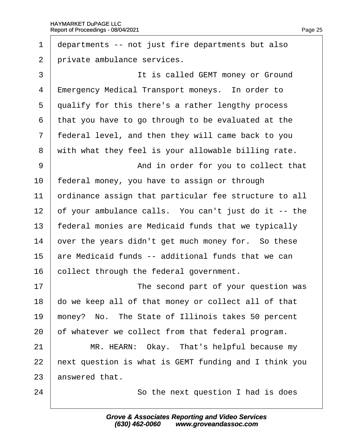<span id="page-25-0"></span>1 departments -- not just fire departments but also 2 private ambulance services. 3 **I It is called GEMT money or Ground**  $4$   $\pm$  mergency Medical Transport moneys. In order to 5 dualify for this there's a rather lengthy process ·6· ·that you have to go through to be evaluated at the 7 federal level, and then they will came back to you 8 with what they feel is your allowable billing rate. 9 | And in order for you to collect that 10 federal money, you have to assign or through 11 **brinance assign that particular fee structure to all** 12 but your ambulance calls. You can't just do it -- the 13 federal monies are Medicaid funds that we typically 14 by out the years didn't get much money for. So these 15 are Medicaid funds -- additional funds that we can 16 collect through the federal government. 17 **I** The second part of your question was 18 do we keep all of that money or collect all of that 19 money? No. The State of Illinois takes 50 percent 20 b f whatever we collect from that federal program. 21 | MR. HEARN: Okay. That's helpful because my 22 hext question is what is GEMT funding and I think you 23 answered that. 24 **So the next question I had is does**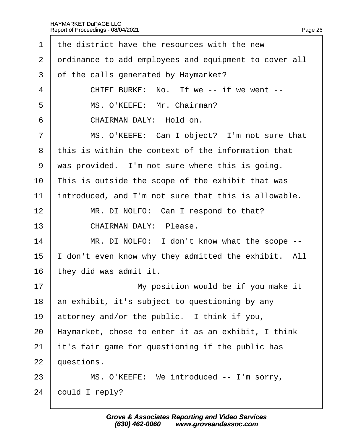<span id="page-26-0"></span>

| 1              | the district have the resources with the new          |
|----------------|-------------------------------------------------------|
| 2              | drdinance to add employees and equipment to cover all |
| 3              | of the calls generated by Haymarket?                  |
| 4              | CHIEF BURKE: No. If we -- if we went --               |
| 5              | MS. O'KEEFE: Mr. Chairman?                            |
| 6              | CHAIRMAN DALY: Hold on.                               |
| $\overline{7}$ | MS. O'KEEFE: Can I object? I'm not sure that          |
| 8              | this is within the context of the information that    |
| 9              | was provided. I'm not sure where this is going.       |
| 10             | This is outside the scope of the exhibit that was     |
| 11             | introduced, and I'm not sure that this is allowable.  |
| 12             | MR. DI NOLFO: Can I respond to that?                  |
| 13             | <b>CHAIRMAN DALY: Please.</b>                         |
| 14             | MR. DI NOLFO: I don't know what the scope --          |
| 15             | don't even know why they admitted the exhibit. All    |
| 16             | they did was admit it.                                |
| 17             | My position would be if you make it                   |
| 18             | an exhibit, it's subject to questioning by any        |
| 19             | attorney and/or the public. I think if you,           |
| 20             | Haymarket, chose to enter it as an exhibit, I think   |
| 21             | it's fair game for questioning if the public has      |
| 22             | questions.                                            |
| 23             | MS. O'KEEFE: We introduced -- I'm sorry,              |
| 24             | could I reply?                                        |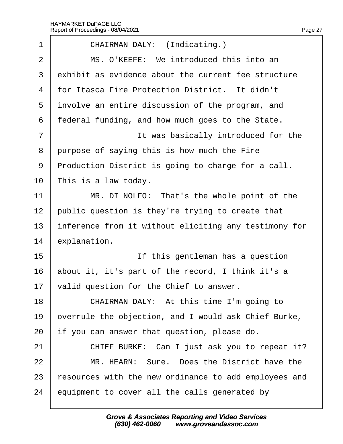<span id="page-27-0"></span>

| 1              | CHAIRMAN DALY: (Indicating.)                          |
|----------------|-------------------------------------------------------|
| $\overline{2}$ | MS. O'KEEFE: We introduced this into an               |
| 3              | exhibit as evidence about the current fee structure   |
| 4              | for Itasca Fire Protection District. It didn't        |
| 5              | involve an entire discussion of the program, and      |
| 6              | federal funding, and how much goes to the State.      |
| 7              | It was basically introduced for the                   |
| 8              | purpose of saying this is how much the Fire           |
| 9              | Production District is going to charge for a call.    |
| 10             | This is a law today.                                  |
| 11             | MR. DI NOLFO: That's the whole point of the           |
| 12             | public question is they're trying to create that      |
| 13             | inference from it without eliciting any testimony for |
| 14             | explanation.                                          |
| 15             | If this gentleman has a question                      |
| 16             | about it, it's part of the record, I think it's a     |
| 17             | valid question for the Chief to answer.               |
| 18             | CHAIRMAN DALY: At this time I'm going to              |
| 19             | overrule the objection, and I would ask Chief Burke,  |
| 20             | if you can answer that question, please do.           |
| 21             | CHIEF BURKE: Can I just ask you to repeat it?         |
| 22             | MR. HEARN: Sure. Does the District have the           |
| 23             | esources with the new ordinance to add employees and  |
| 24             | equipment to cover all the calls generated by         |
|                |                                                       |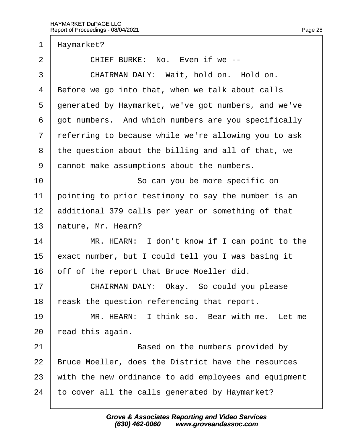<span id="page-28-0"></span>

| 1              | Haymarket?                                            |
|----------------|-------------------------------------------------------|
| $\overline{2}$ | CHIEF BURKE: No. Even if we --                        |
| 3              | CHAIRMAN DALY: Wait, hold on. Hold on.                |
| 4              | Before we go into that, when we talk about calls      |
| 5              | generated by Haymarket, we've got numbers, and we've  |
| 6              | got numbers. And which numbers are you specifically   |
| $\overline{7}$ | referring to because while we're allowing you to ask  |
| 8              | the question about the billing and all of that, we    |
| 9              | dannot make assumptions about the numbers.            |
| 10             | So can you be more specific on                        |
| 11             | pointing to prior testimony to say the number is an   |
| 12             | additional 379 calls per year or something of that    |
| 13             | hature, Mr. Hearn?                                    |
| 14             | MR. HEARN: I don't know if I can point to the         |
| 15             | exact number, but I could tell you I was basing it    |
| 16             | off of the report that Bruce Moeller did.             |
| 17             | CHAIRMAN DALY: Okay. So could you please              |
| 18             | eask the question referencing that report.            |
| 19             | MR. HEARN: I think so. Bear with me. Let me           |
| 20             | ead this again.                                       |
| 21             | Based on the numbers provided by                      |
| 22             | Bruce Moeller, does the District have the resources   |
| 23             | with the new ordinance to add employees and equipment |
| 24             | to cover all the calls generated by Haymarket?        |
|                |                                                       |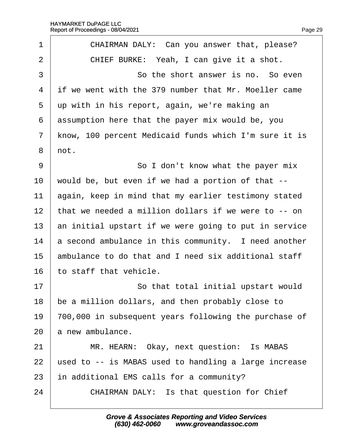<span id="page-29-0"></span>

| 1              | CHAIRMAN DALY: Can you answer that, please?           |
|----------------|-------------------------------------------------------|
| $\overline{2}$ | CHIEF BURKE: Yeah, I can give it a shot.              |
| 3              | So the short answer is no. So even                    |
| 4              | if we went with the 379 number that Mr. Moeller came  |
| 5              | up with in his report, again, we're making an         |
| 6              | assumption here that the payer mix would be, you      |
| $\overline{7}$ | know, 100 percent Medicaid funds which I'm sure it is |
| 8              | not.                                                  |
| 9              | So I don't know what the payer mix                    |
| 10             | would be, but even if we had a portion of that --     |
| 11             | again, keep in mind that my earlier testimony stated  |
| 12             | that we needed a million dollars if we were to -- on  |
| 13             | an initial upstart if we were going to put in service |
| 14             | a second ambulance in this community. I need another  |
| 15             | ambulance to do that and I need six additional staff  |
| 16             | to staff that vehicle.                                |
| 17             | So that total initial upstart would                   |
| 18             | be a million dollars, and then probably close to      |
| 19             | 700,000 in subsequent years following the purchase of |
| 20             | a new ambulance.                                      |
| 21             | MR. HEARN: Okay, next question: Is MABAS              |
| 22             | used to -- is MABAS used to handling a large increase |
| 23             | in additional EMS calls for a community?              |
| 24             | <b>CHAIRMAN DALY: Is that question for Chief</b>      |
|                |                                                       |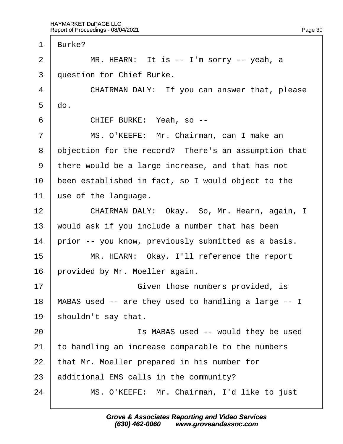<span id="page-30-0"></span>1 Burke?  $2 \mid MR$ . HEARN: It is  $-$  I'm sorry  $-$  yeah, a 3 duestion for Chief Burke. 4 CHAIRMAN DALY: If you can answer that, please  $5$  do. 6 | CHIEF BURKE: Yeah, so --7 | MS. O'KEEFE: Mr. Chairman, can I make an 8 dbjection for the record? There's an assumption that ·9· ·there would be a large increase, and that has not 10 been established in fact, so I would object to the 11  $\mu$ se of the language. 12 | CHAIRMAN DALY: Okay. So, Mr. Hearn, again, I 13 would ask if you include a number that has been 14 prior -- you know, previously submitted as a basis. 15 | MR. HEARN: Okay, I'll reference the report 16 brovided by Mr. Moeller again. 17 **Solution** Given those numbers provided, is 18 MABAS used -- are they used to handling a large -- I 19 shouldn't say that. 20 **Solution 1** Is MABAS used -- would they be used 21 to handling an increase comparable to the numbers 22 that Mr. Moeller prepared in his number for 23 additional EMS calls in the community? 24 | MS. O'KEEFE: Mr. Chairman, I'd like to just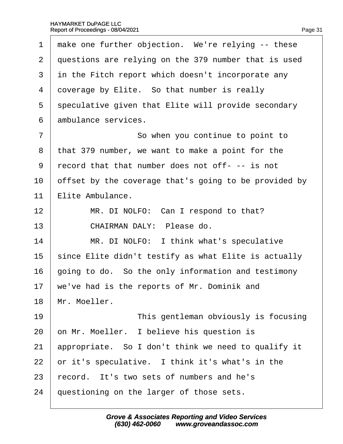<span id="page-31-0"></span>

| 1              | make one further objection. We're relying -- these    |
|----------------|-------------------------------------------------------|
| $\overline{2}$ | questions are relying on the 379 number that is used  |
| 3              | in the Fitch report which doesn't incorporate any     |
| 4              | doverage by Elite. So that number is really           |
| 5              | speculative given that Elite will provide secondary   |
| 6              | ambulance services.                                   |
| 7              | So when you continue to point to                      |
| 8              | that 379 number, we want to make a point for the      |
| 9              | record that that number does not off--- is not        |
| 10             | offset by the coverage that's going to be provided by |
| 11             | Elite Ambulance.                                      |
| 12             | MR. DI NOLFO: Can I respond to that?                  |
| 13             | CHAIRMAN DALY: Please do.                             |
| 14             | MR. DI NOLFO: I think what's speculative              |
| 15             | since Elite didn't testify as what Elite is actually  |
| 16             | going to do. So the only information and testimony    |
| 17             | we've had is the reports of Mr. Dominik and           |
| 18             | Mr. Moeller.                                          |
| 19             | This gentleman obviously is focusing                  |
| 20             | on Mr. Moeller. I believe his question is             |
| 21             | appropriate. So I don't think we need to qualify it   |
| 22             | or it's speculative. I think it's what's in the       |
| 23             | record. It's two sets of numbers and he's             |
| 24             | questioning on the larger of those sets.              |
|                |                                                       |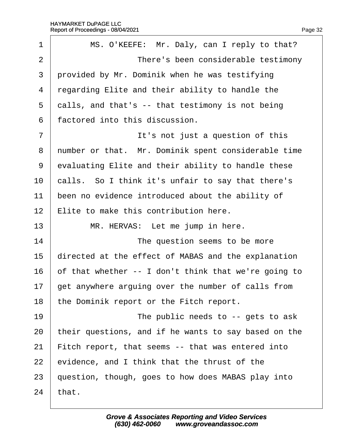<span id="page-32-0"></span>

| 1              | MS. O'KEEFE: Mr. Daly, can I reply to that?          |
|----------------|------------------------------------------------------|
| $\overline{2}$ | There's been considerable testimony                  |
| 3              | provided by Mr. Dominik when he was testifying       |
| 4              | regarding Elite and their ability to handle the      |
| 5              | dalls, and that's -- that testimony is not being     |
| 6              | factored into this discussion.                       |
| 7              | It's not just a question of this                     |
| 8              | number or that. Mr. Dominik spent considerable time  |
| 9              | evaluating Elite and their ability to handle these   |
| 10             | calls. So I think it's unfair to say that there's    |
| 11             | been no evidence introduced about the ability of     |
| 12             | Elite to make this contribution here.                |
| 13             | MR. HERVAS: Let me jump in here.                     |
| 14             | The question seems to be more                        |
| 15             | directed at the effect of MABAS and the explanation  |
| 16             | of that whether -- I don't think that we're going to |
| 17             | get anywhere arguing over the number of calls from   |
| 18             | the Dominik report or the Fitch report.              |
| 19             | The public needs to -- gets to ask                   |
| 20             | their questions, and if he wants to say based on the |
| 21             | Fitch report, that seems -- that was entered into    |
| 22             | evidence, and I think that the thrust of the         |
| 23             | question, though, goes to how does MABAS play into   |
| 24             | that.                                                |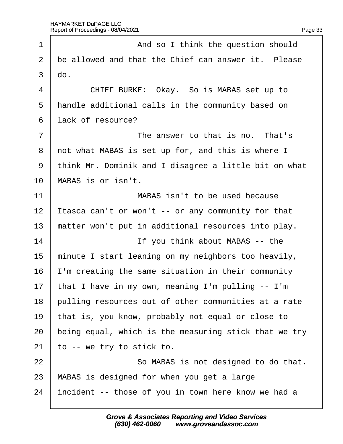<span id="page-33-0"></span>

| 1              | And so I think the question should                    |
|----------------|-------------------------------------------------------|
| 2              | be allowed and that the Chief can answer it. Please   |
| 3              | do.                                                   |
| 4              | CHIEF BURKE: Okay. So is MABAS set up to              |
| 5              | handle additional calls in the community based on     |
| 6              | lack of resource?                                     |
| $\overline{7}$ | The answer to that is no. That's                      |
| 8              | not what MABAS is set up for, and this is where I     |
| 9              | think Mr. Dominik and I disagree a little bit on what |
| 10             | MABAS is or isn't.                                    |
| 11             | MABAS isn't to be used because                        |
| 12             | Itasca can't or won't -- or any community for that    |
| 13             | matter won't put in additional resources into play.   |
| 14             | If you think about MABAS -- the                       |
| 15             | minute I start leaning on my neighbors too heavily,   |
| 16             | I'm creating the same situation in their community    |
| 17             | that I have in my own, meaning I'm pulling -- I'm     |
| 18             | pulling resources out of other communities at a rate  |
| 19             | that is, you know, probably not equal or close to     |
| 20             | being equal, which is the measuring stick that we try |
| 21             | to -- we try to stick to.                             |
| 22             | So MABAS is not designed to do that.                  |
| 23             | MABAS is designed for when you get a large            |
| 24             | incident -- those of you in town here know we had a   |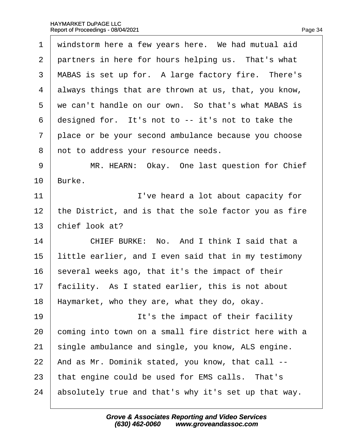<span id="page-34-0"></span>

| 1              | windstorm here a few years here. We had mutual aid    |
|----------------|-------------------------------------------------------|
| $\overline{2}$ | partners in here for hours helping us. That's what    |
| 3              | MABAS is set up for. A large factory fire. There's    |
| 4              | always things that are thrown at us, that, you know,  |
| 5              | we can't handle on our own. So that's what MABAS is   |
| 6              | designed for. It's not to -- it's not to take the     |
| $\overline{7}$ | place or be your second ambulance because you choose  |
| 8              | not to address your resource needs.                   |
| 9              | MR. HEARN: Okay. One last question for Chief          |
| 10             | Burke.                                                |
| 11             | I've heard a lot about capacity for                   |
| 12             | the District, and is that the sole factor you as fire |
| 13             | chief look at?                                        |
| 14             | CHIEF BURKE: No. And I think I said that a            |
| 15             | little earlier, and I even said that in my testimony  |
| 16             | several weeks ago, that it's the impact of their      |
| 17             | acility. As I stated earlier, this is not about       |
| 18             | Haymarket, who they are, what they do, okay.          |
| 19             | It's the impact of their facility                     |
| 20             | coming into town on a small fire district here with a |
| 21             | single ambulance and single, you know, ALS engine.    |
| 22             | And as Mr. Dominik stated, you know, that call --     |
| 23             | that engine could be used for EMS calls. That's       |
| 24             | absolutely true and that's why it's set up that way.  |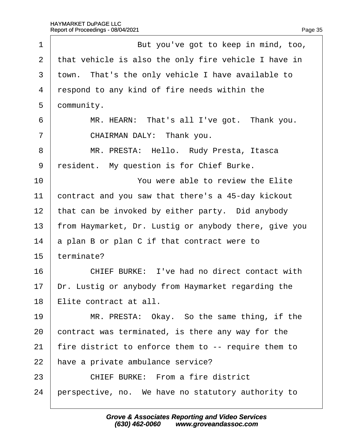<span id="page-35-0"></span>

| 1              | But you've got to keep in mind, too,                  |
|----------------|-------------------------------------------------------|
| 2              | that vehicle is also the only fire vehicle I have in  |
| 3              | town. That's the only vehicle I have available to     |
| 4              | respond to any kind of fire needs within the          |
| 5              | dommunity.                                            |
| 6              | MR. HEARN: That's all I've got. Thank you.            |
| $\overline{7}$ | CHAIRMAN DALY: Thank you.                             |
| 8              | MR. PRESTA: Hello. Rudy Presta, Itasca                |
| 9              | resident. My question is for Chief Burke.             |
| 10             | You were able to review the Elite                     |
| 11             | contract and you saw that there's a 45-day kickout    |
| 12             | that can be invoked by either party. Did anybody      |
| 13             | from Haymarket, Dr. Lustig or anybody there, give you |
| 14             | a plan B or plan C if that contract were to           |
| 15             | terminate?                                            |
| 16             | CHIEF BURKE: I've had no direct contact with          |
| 17             | Dr. Lustig or anybody from Haymarket regarding the    |
| 18             | Elite contract at all.                                |
| 19             | MR. PRESTA: Okay. So the same thing, if the           |
| 20             | contract was terminated, is there any way for the     |
| 21             | fire district to enforce them to -- require them to   |
| 22             | have a private ambulance service?                     |
| 23             | <b>CHIEF BURKE: From a fire district</b>              |
| 24             | perspective, no. We have no statutory authority to    |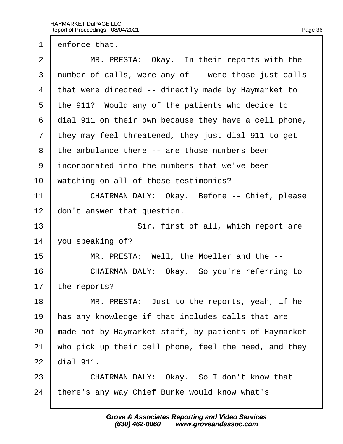<span id="page-36-0"></span>1 enforce that.

| $\overline{2}$ | MR. PRESTA: Okay. In their reports with the           |
|----------------|-------------------------------------------------------|
| 3              | number of calls, were any of -- were those just calls |
| 4              | that were directed -- directly made by Haymarket to   |
| 5              | the 911? Would any of the patients who decide to      |
| 6              | dial 911 on their own because they have a cell phone, |
| $\overline{7}$ | they may feel threatened, they just dial 911 to get   |
| 8              | the ambulance there -- are those numbers been         |
| 9              | incorporated into the numbers that we've been         |
| 10             | watching on all of these testimonies?                 |
| 11             | CHAIRMAN DALY: Okay. Before -- Chief, please          |
| 12             | don't answer that question.                           |
| 13             | Sir, first of all, which report are                   |
| 14             | you speaking of?                                      |
| 15             | MR. PRESTA: Well, the Moeller and the --              |
| 16             | CHAIRMAN DALY: Okay. So you're referring to           |
| 17             | the reports?                                          |
| 18             | MR. PRESTA: Just to the reports, yeah, if he          |
| 19             | has any knowledge if that includes calls that are     |
| 20             | made not by Haymarket staff, by patients of Haymarket |
| 21             | who pick up their cell phone, feel the need, and they |
| 22             | dial 911.                                             |
| 23             | CHAIRMAN DALY: Okay. So I don't know that             |
| 24             | there's any way Chief Burke would know what's         |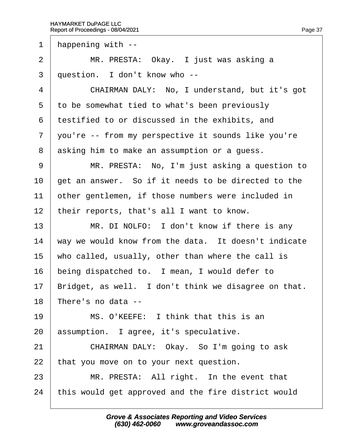<span id="page-37-0"></span>1 happening with --

2 | MR. PRESTA: Okay. I just was asking a

3 duestion. I don't know who --

4 CHAIRMAN DALY: No. I understand, but it's got

5 to be somewhat tied to what's been previously

·6· ·testified to or discussed in the exhibits, and

7 you're -- from my perspective it sounds like you're

8 asking him to make an assumption or a quess.

9 | MR. PRESTA: No, I'm just asking a question to

10 get an answer. So if it needs to be directed to the

11 bther gentlemen, if those numbers were included in

12 their reports, that's all I want to know.

13 | MR. DI NOLFO: I don't know if there is any

14 way we would know from the data. It doesn't indicate

15 who called, usually, other than where the call is

16 being dispatched to. I mean, I would defer to

17 Bridget, as well. I don't think we disagree on that.

18 There's no data --

19  $\parallel$  MS, O'KEEFE: I think that this is an

20 assumption. I agree, it's speculative.

21 | CHAIRMAN DALY: Okay. So I'm going to ask

22 that you move on to your next question.

 $23$  | MR. PRESTA: All right. In the event that

24 this would get approved and the fire district would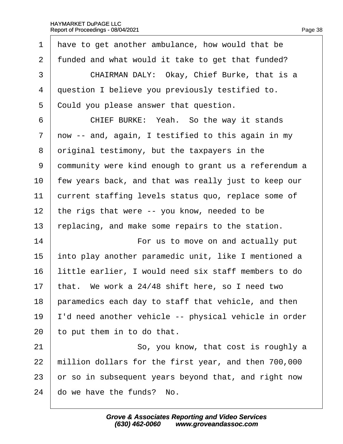<span id="page-38-0"></span>

| 1              | have to get another ambulance, how would that be      |
|----------------|-------------------------------------------------------|
| $\overline{2}$ | funded and what would it take to get that funded?     |
| 3              | CHAIRMAN DALY: Okay, Chief Burke, that is a           |
| 4              | question I believe you previously testified to.       |
| 5              | Could you please answer that question.                |
| 6              | CHIEF BURKE: Yeah. So the way it stands               |
| $\overline{7}$ | now -- and, again, I testified to this again in my    |
| 8              | driginal testimony, but the taxpayers in the          |
| 9              | dommunity were kind enough to grant us a referendum a |
| 10             | few years back, and that was really just to keep our  |
| 11             | current staffing levels status quo, replace some of   |
| 12             | the rigs that were -- you know, needed to be          |
| 13             | replacing, and make some repairs to the station.      |
| 14             | For us to move on and actually put                    |
| 15             | into play another paramedic unit, like I mentioned a  |
| 16             | little earlier, I would need six staff members to do  |
| 17             | that. We work a 24/48 shift here, so I need two       |
| 18             | paramedics each day to staff that vehicle, and then   |
| 19             | 'd need another vehicle -- physical vehicle in order  |
| 20             | to put them in to do that.                            |
| 21             | So, you know, that cost is roughly a                  |
| 22             | million dollars for the first year, and then 700,000  |
| 23             | or so in subsequent years beyond that, and right now  |
| 24             | do we have the funds? No.                             |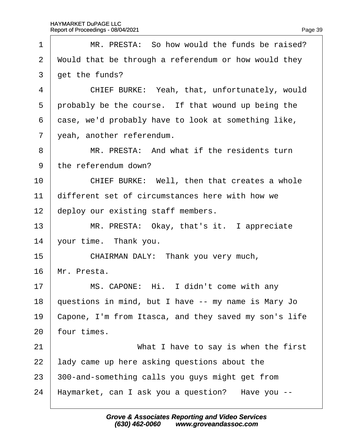<span id="page-39-0"></span>

| 1              | MR. PRESTA: So how would the funds be raised?         |
|----------------|-------------------------------------------------------|
| 2              | Would that be through a referendum or how would they  |
| 3              | get the funds?                                        |
| 4              | CHIEF BURKE: Yeah, that, unfortunately, would         |
| 5              | probably be the course. If that wound up being the    |
| 6              | dase, we'd probably have to look at something like,   |
| $\overline{7}$ | yeah, another referendum.                             |
| 8              | MR. PRESTA: And what if the residents turn            |
| 9              | the referendum down?                                  |
| 10             | CHIEF BURKE: Well, then that creates a whole          |
| 11             | different set of circumstances here with how we       |
| 12             | deploy our existing staff members.                    |
| 13             | MR. PRESTA: Okay, that's it. I appreciate             |
| 14             | your time. Thank you.                                 |
| 15             | CHAIRMAN DALY: Thank you very much,                   |
| 16             | Mr. Presta.                                           |
| 17             | MS. CAPONE: Hi. I didn't come with any                |
| 18             | questions in mind, but I have -- my name is Mary Jo   |
| 19             | Capone, I'm from Itasca, and they saved my son's life |
| 20             | four times.                                           |
| 21             | What I have to say is when the first                  |
| 22             | lady came up here asking questions about the          |
| 23             | 300-and-something calls you guys might get from       |
| 24             | Haymarket, can I ask you a question? Have you --      |
|                |                                                       |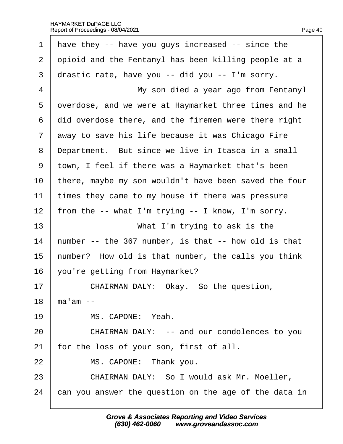|  | Page 40 |
|--|---------|

<span id="page-40-0"></span>

| 1              | have they -- have you guys increased -- since the     |
|----------------|-------------------------------------------------------|
| $\overline{2}$ | opioid and the Fentanyl has been killing people at a  |
| 3              | drastic rate, have you -- did you -- I'm sorry.       |
| 4              | My son died a year ago from Fentanyl                  |
| 5              | dverdose, and we were at Haymarket three times and he |
| 6              | did overdose there, and the firemen were there right  |
| $\overline{7}$ | away to save his life because it was Chicago Fire     |
| 8              | Department. But since we live in Itasca in a small    |
| 9              | town, I feel if there was a Haymarket that's been     |
| 10             | there, maybe my son wouldn't have been saved the four |
| 11             | times they came to my house if there was pressure     |
| 12             | from the -- what I'm trying -- I know, I'm sorry.     |
| 13             | What I'm trying to ask is the                         |
| 14             | humber -- the 367 number, is that -- how old is that  |
| 15             | humber? How old is that number, the calls you think   |
| 16             | you're getting from Haymarket?                        |
| 17             | CHAIRMAN DALY: Okay. So the question,                 |
| 18             | ma'am --                                              |
| 19             | MS. CAPONE: Yeah.                                     |
| 20             | CHAIRMAN DALY: -- and our condolences to you          |
| 21             | or the loss of your son, first of all.                |
| 22             | MS. CAPONE: Thank you.                                |
| 23             | CHAIRMAN DALY: So I would ask Mr. Moeller,            |
| 24             | can you answer the question on the age of the data in |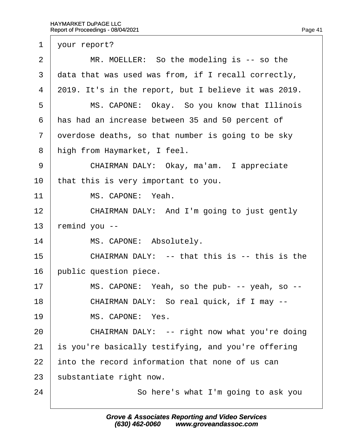<span id="page-41-0"></span>1 your report?

| 2              | MR. MOELLER: So the modeling is -- so the            |
|----------------|------------------------------------------------------|
| 3              | data that was used was from, if I recall correctly,  |
| 4              | 2019. It's in the report, but I believe it was 2019. |
| 5              | MS. CAPONE: Okay. So you know that Illinois          |
| 6              | has had an increase between 35 and 50 percent of     |
| $\overline{7}$ | dverdose deaths, so that number is going to be sky   |
| 8              | high from Haymarket, I feel.                         |
| 9              | CHAIRMAN DALY: Okay, ma'am. I appreciate             |
| 10             | that this is very important to you.                  |
| 11             | MS. CAPONE: Yeah.                                    |
| 12             | CHAIRMAN DALY: And I'm going to just gently          |
| 13             | emind you --                                         |
| 14             | MS. CAPONE: Absolutely.                              |
| 15             | CHAIRMAN DALY: -- that this is -- this is the        |
| 16             | public question piece.                               |
| 17             | MS. CAPONE: Yeah, so the pub- -- yeah, so --         |
| 18             | CHAIRMAN DALY: So real quick, if I may --            |
| 19             | MS. CAPONE: Yes.                                     |
| 20             | CHAIRMAN DALY: -- right now what you're doing        |
| 21             | is you're basically testifying, and you're offering  |
| 22             | into the record information that none of us can      |
| 23             | substantiate right now.                              |
| 24             | So here's what I'm going to ask you                  |
|                |                                                      |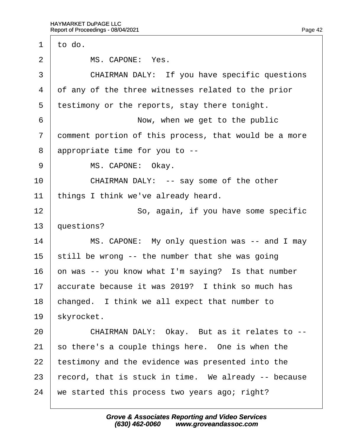<span id="page-42-0"></span>

| $\mathbf 1$ | to do.                                                |
|-------------|-------------------------------------------------------|
| 2           | MS. CAPONE: Yes.                                      |
| 3           | CHAIRMAN DALY: If you have specific questions         |
| 4           | of any of the three witnesses related to the prior    |
| 5           | testimony or the reports, stay there tonight.         |
| 6           | Now, when we get to the public                        |
| 7           | domment portion of this process, that would be a more |
| 8           | appropriate time for you to --                        |
| 9           | MS. CAPONE: Okay.                                     |
| 10          | CHAIRMAN DALY: -- say some of the other               |
| 11          | things I think we've already heard.                   |
| 12          | So, again, if you have some specific                  |
| 13          | questions?                                            |
| 14          | MS. CAPONE: My only question was -- and I may         |
| 15          | still be wrong -- the number that she was going       |
| 16          | on was -- you know what I'm saying? Is that number    |
| 17          | accurate because it was 2019? I think so much has     |
| 18          | changed. I think we all expect that number to         |
| 19          | <i><b>skyrocket.</b></i>                              |
| 20          | CHAIRMAN DALY: Okay. But as it relates to --          |
| 21          | so there's a couple things here. One is when the      |
| 22          | testimony and the evidence was presented into the     |
| 23          | record, that is stuck in time. We already -- because  |
| 24          | we started this process two years ago; right?         |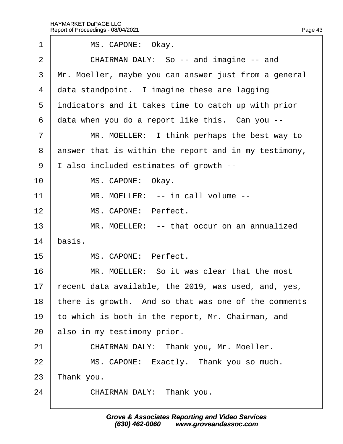<span id="page-43-0"></span>

| 1              | MS. CAPONE: Okay.                                     |
|----------------|-------------------------------------------------------|
| 2              | CHAIRMAN DALY: So -- and imagine -- and               |
| 3              | Mr. Moeller, maybe you can answer just from a general |
| 4              | data standpoint. I imagine these are lagging          |
| 5              | indicators and it takes time to catch up with prior   |
| 6              | data when you do a report like this. Can you --       |
| $\overline{7}$ | MR. MOELLER: I think perhaps the best way to          |
| 8              | answer that is within the report and in my testimony, |
| 9              | I also included estimates of growth --                |
| 10             | MS. CAPONE: Okay.                                     |
| 11             | MR. MOELLER: -- in call volume --                     |
| 12             | MS. CAPONE: Perfect.                                  |
| 13             | MR. MOELLER: -- that occur on an annualized           |
| 14             | basis.                                                |
| 15             | MS. CAPONE: Perfect.                                  |
| 16             | MR. MOELLER: So it was clear that the most            |
| 17             | recent data available, the 2019, was used, and, yes,  |
| 18             | there is growth. And so that was one of the comments  |
| 19             | to which is both in the report, Mr. Chairman, and     |
| 20             | also in my testimony prior.                           |
| 21             | CHAIRMAN DALY: Thank you, Mr. Moeller.                |
| 22             | MS. CAPONE: Exactly. Thank you so much.               |
| 23             | ∏hank you.                                            |
| 24             | CHAIRMAN DALY: Thank you.                             |
|                |                                                       |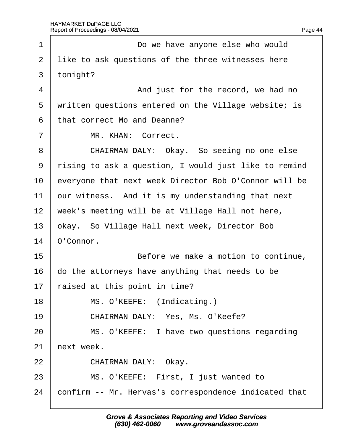<span id="page-44-0"></span>

| 1              | Do we have anyone else who would                      |
|----------------|-------------------------------------------------------|
| 2              | like to ask questions of the three witnesses here     |
| 3              | tonight?                                              |
| 4              | And just for the record, we had no                    |
| 5              | written questions entered on the Village website; is  |
| 6              | that correct Mo and Deanne?                           |
| $\overline{7}$ | MR. KHAN: Correct.                                    |
| 8              | CHAIRMAN DALY: Okay. So seeing no one else            |
| 9              | rising to ask a question, I would just like to remind |
| 10             | everyone that next week Director Bob O'Connor will be |
| 11             | our witness. And it is my understanding that next     |
| 12             | week's meeting will be at Village Hall not here,      |
| 13             | okay. So Village Hall next week, Director Bob         |
| 14             | O'Connor.                                             |
| 15             | Before we make a motion to continue,                  |
| 16             | do the attorneys have anything that needs to be       |
| 17             | aised at this point in time?                          |
| 18             | MS. O'KEEFE: (Indicating.)                            |
| 19             | CHAIRMAN DALY: Yes, Ms. O'Keefe?                      |
| 20             | MS. O'KEEFE: I have two questions regarding           |
| 21             | hext week.                                            |
| 22             | CHAIRMAN DALY: Okay.                                  |
| 23             | MS. O'KEEFE: First, I just wanted to                  |
| 24             | confirm -- Mr. Hervas's correspondence indicated that |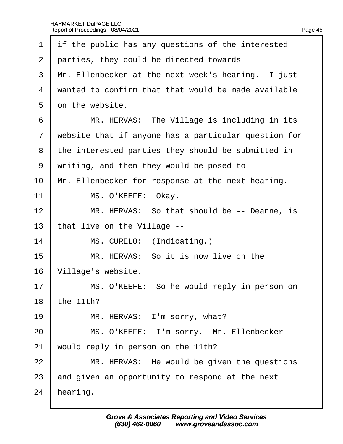<span id="page-45-0"></span>

| if the public has any questions of the interested    |
|------------------------------------------------------|
| parties, they could be directed towards              |
| Mr. Ellenbecker at the next week's hearing. I just   |
| wanted to confirm that that would be made available  |
| on the website.                                      |
| MR. HERVAS: The Village is including in its          |
| website that if anyone has a particular question for |
| the interested parties they should be submitted in   |
| writing, and then they would be posed to             |
| Mr. Ellenbecker for response at the next hearing.    |
| MS. O'KEEFE: Okay.                                   |
| MR. HERVAS: So that should be -- Deanne, is          |
| that live on the Village --                          |
| MS. CURELO: (Indicating.)                            |
| MR. HERVAS: So it is now live on the                 |
| Village's website.                                   |
| MS. O'KEEFE: So he would reply in person on          |
| the 11th?                                            |
| MR. HERVAS: I'm sorry, what?                         |
| MS. O'KEEFE: I'm sorry. Mr. Ellenbecker              |
| would reply in person on the 11th?                   |
| MR. HERVAS: He would be given the questions          |
| and given an opportunity to respond at the next      |
| hearing.                                             |
|                                                      |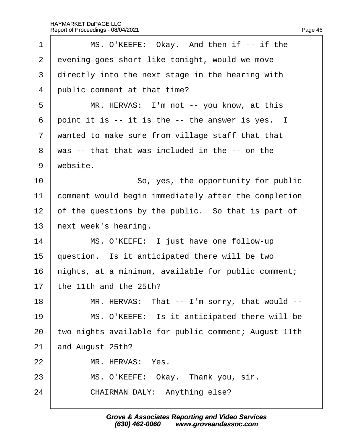<span id="page-46-0"></span>

| 1              | MS. O'KEEFE: Okay. And then if -- if the             |
|----------------|------------------------------------------------------|
| $\overline{2}$ | evening goes short like tonight, would we move       |
| 3              | directly into the next stage in the hearing with     |
| 4              | public comment at that time?                         |
| 5              | MR. HERVAS: I'm not -- you know, at this             |
| 6              | point it is -- it is the -- the answer is yes. I     |
| $\overline{7}$ | wanted to make sure from village staff that that     |
| 8              | was -- that that was included in the -- on the       |
| 9              | website.                                             |
| 10             | So, yes, the opportunity for public                  |
| 11             | comment would begin immediately after the completion |
| 12             | of the questions by the public. So that is part of   |
| 13             | hext week's hearing.                                 |
| 14             | MS. O'KEEFE: I just have one follow-up               |
| 15             | question. Is it anticipated there will be two        |
| 16             | hights, at a minimum, available for public comment;  |
| 17             | the 11th and the 25th?                               |
| 18             | MR. HERVAS: That -- I'm sorry, that would --         |
| 19             | MS. O'KEEFE: Is it anticipated there will be         |
| 20             | two nights available for public comment; August 11th |
| 21             | and August 25th?                                     |
| 22             | MR. HERVAS: Yes.                                     |
| 23             | MS. O'KEEFE: Okay. Thank you, sir.                   |
| 24             | CHAIRMAN DALY: Anything else?                        |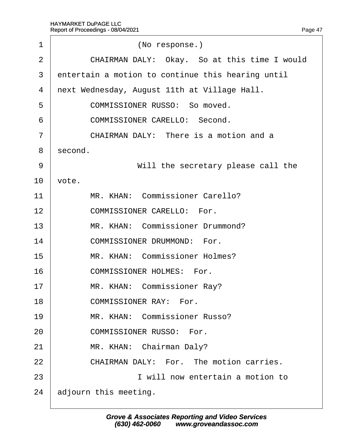<span id="page-47-0"></span>

| 1  | (No response.)                                    |  |
|----|---------------------------------------------------|--|
| 2  | CHAIRMAN DALY: Okay. So at this time I would      |  |
| 3  | entertain a motion to continue this hearing until |  |
| 4  | next Wednesday, August 11th at Village Hall.      |  |
| 5  | <b>COMMISSIONER RUSSO: So moved.</b>              |  |
| 6  | <b>COMMISSIONER CARELLO: Second.</b>              |  |
| 7  | CHAIRMAN DALY: There is a motion and a            |  |
| 8  | second.                                           |  |
| 9  | Will the secretary please call the                |  |
| 10 | vote.                                             |  |
| 11 | MR. KHAN: Commissioner Carello?                   |  |
| 12 | <b>COMMISSIONER CARELLO: For.</b>                 |  |
| 13 | MR. KHAN: Commissioner Drummond?                  |  |
| 14 | <b>COMMISSIONER DRUMMOND: For.</b>                |  |
| 15 | MR. KHAN: Commissioner Holmes?                    |  |
| 16 | <b>COMMISSIONER HOLMES: For.</b>                  |  |
| 17 | MR. KHAN: Commissioner Ray?                       |  |
| 18 | <b>COMMISSIONER RAY: For.</b>                     |  |
| 19 | MR. KHAN: Commissioner Russo?                     |  |
| 20 | <b>COMMISSIONER RUSSO: For.</b>                   |  |
| 21 | MR. KHAN: Chairman Daly?                          |  |
| 22 | CHAIRMAN DALY: For. The motion carries.           |  |
| 23 | I will now entertain a motion to                  |  |
| 24 | adjourn this meeting.                             |  |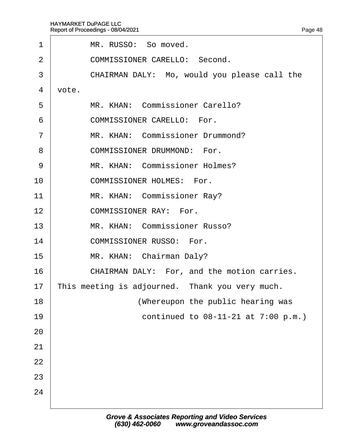<span id="page-48-0"></span>

| 1              | MR. RUSSO: So moved.                            |  |  |
|----------------|-------------------------------------------------|--|--|
| $\overline{2}$ | <b>COMMISSIONER CARELLO: Second.</b>            |  |  |
| 3              | CHAIRMAN DALY: Mo, would you please call the    |  |  |
| 4              | vote.                                           |  |  |
| 5              | MR. KHAN: Commissioner Carello?                 |  |  |
| 6              | <b>COMMISSIONER CARELLO: For.</b>               |  |  |
| $\overline{7}$ | MR. KHAN: Commissioner Drummond?                |  |  |
| 8              | <b>COMMISSIONER DRUMMOND: For.</b>              |  |  |
| 9              | MR. KHAN: Commissioner Holmes?                  |  |  |
| 10             | <b>COMMISSIONER HOLMES: For.</b>                |  |  |
| 11             | MR. KHAN: Commissioner Ray?                     |  |  |
| 12             | <b>COMMISSIONER RAY: For.</b>                   |  |  |
| 13             | MR. KHAN: Commissioner Russo?                   |  |  |
| 14             | <b>COMMISSIONER RUSSO: For.</b>                 |  |  |
| 15             | MR. KHAN: Chairman Daly?                        |  |  |
| 16             | CHAIRMAN DALY: For, and the motion carries.     |  |  |
| 17             | This meeting is adjourned. Thank you very much. |  |  |
| 18             | (Whereupon the public hearing was               |  |  |
| 19             | continued to 08-11-21 at 7:00 p.m.)             |  |  |
| 20             |                                                 |  |  |
| 21             |                                                 |  |  |
| 22             |                                                 |  |  |
| 23             |                                                 |  |  |
| 24             |                                                 |  |  |
|                |                                                 |  |  |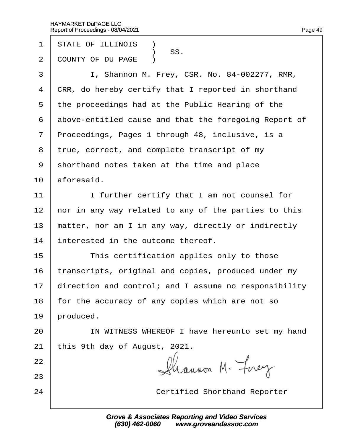- 1 STATE OF ILLINOIS **1**
- SS.<br>2 COUNTY OF DU I COUNTY OF DU PAGE )
- 3 | I, Shannon M. Frey, CSR. No. 84-002277, RMR,
- 4 CRR, do hereby certify that I reported in shorthand
- 5 the proceedings had at the Public Hearing of the
- 6 above-entitled cause and that the foregoing Report of
- 7 Proceedings, Pages 1 through 48, inclusive, is a
- 8 true, correct, and complete transcript of my
- ·9· ·shorthand notes taken at the time and place
- $10$  aforesaid.
- 11 | I further certify that I am not counsel for
- 12 hor in any way related to any of the parties to this
- 13 matter, nor am I in any way, directly or indirectly
- 14 interested in the outcome thereof.
- $15$   $\parallel$  This certification applies only to those
- 16 transcripts, original and copies, produced under my
- 17 direction and control; and I assume no responsibility
- 18 for the accuracy of any copies which are not so
- 19 broduced.
- 20 | IN WITNESS WHEREOF I have hereunto set my hand
- 21 this 9th day of August,  $2021$ .
- 22
- 23
- 

24 **Certified Shorthand Reporter**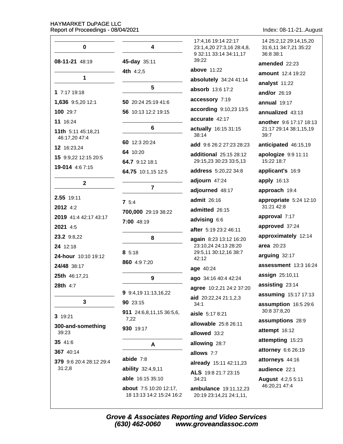Index: 08-11-21..August

| $\mathbf 0$                         | 4                                                  | 17:4,16 19:14 22:17<br>23:1,4,20 27:3,16 28:4,8,<br>9 32:11 33:14 34:11,17 | 14 25:2,12 29:14,15,20<br>31:6,11 34:7,21 35:22<br>36:8 38:1 |
|-------------------------------------|----------------------------------------------------|----------------------------------------------------------------------------|--------------------------------------------------------------|
| 08-11-21 48:19                      | 45-day 35:11                                       | 39:22                                                                      | amended 22:23                                                |
|                                     | 4th 4:2,5                                          | above 11:22                                                                | amount 12:4 19:22                                            |
| $\mathbf 1$                         |                                                    | absolutely 34:24 41:14                                                     | analyst 11:22                                                |
| 1 7:17 19:18                        | 5                                                  | absorb 13:6 17:2                                                           | and/or 26:19                                                 |
| 1,636 9:5,20 12:1                   | 50 20:24 25:19 41:6                                | accessory 7:19                                                             | annual 19:17                                                 |
| 100 29:7                            | 56 10:13 12:2 19:15                                | according 9:10,23 13:5                                                     | annualized 43:13                                             |
| 11 16:24                            |                                                    | accurate 42:17                                                             | another 9:6 17:17 18:13                                      |
| 11th 5:11 45:18,21<br>46:17,20 47:4 | 6                                                  | actually 16:15 31:15<br>38:14                                              | 21:17 29:14 38:1,15,19<br>39:7                               |
| 12 16:23,24                         | 60 12:3 20:24                                      | <b>add</b> 9:6 26:2 27:23 28:23                                            | anticipated 46:15,19                                         |
| 15 9:9,22 12:15 20:5                | 64 10:20<br>64.7 9:12 18:1                         | additional 25:15 28:12<br>29:15,23 30:23 33:5,13                           | apologize 9:9 11:11<br>15:22 18:7                            |
| 19-014 4:6 7:15                     | 64.75 10:1,15 12:5                                 | address 5:20,22 34:8                                                       | applicant's 16:9                                             |
| $\mathbf{2}$                        |                                                    | adjourn 47:24                                                              | apply 16:13                                                  |
|                                     | $\overline{7}$                                     | adjourned 48:17                                                            | approach 19:4                                                |
| 2.55 19:11                          | 75:4                                               | admit 26:16                                                                | appropriate 5:24 12:10                                       |
| 2012 4:2                            | 700,000 29:19 38:22                                | admitted 26:15                                                             | 31:21 42:8                                                   |
| 2019 41:4 42:17 43:17               | 7:00 48:19                                         | advising 6:6                                                               | approval 7:17                                                |
| 2021 4:5                            |                                                    | after 5:19 23:2 46:11                                                      | approved 37:24                                               |
| 23.2 9:8,22                         | 8                                                  | again 8:23 13:12 16:20                                                     | approximately 12:14                                          |
| 24 12:18                            | 85:18                                              | 23:10,24 24:13 28:20<br>29:5,11 30:12,16 38:7                              | area 20:23                                                   |
| 24-hour 10:10 19:12                 | 860 4:9 7:20                                       | 42:12                                                                      | arguing 32:17                                                |
| 24/48 38:17                         |                                                    | age 40:24                                                                  | assessment 13:3 16:24                                        |
| 25th 46:17,21                       | 9                                                  | ago 34:16 40:4 42:24                                                       | assign 25:10,11                                              |
| 28th 4:7                            |                                                    | agree 10:2,21 24:2 37:20                                                   | assisting 23:14                                              |
| 3                                   | 9 9:4,19 11:13,16,22                               | aid 20:22,24 21:1,2,3                                                      | assuming 15:17 17:13                                         |
|                                     | 90 23:15<br>911 24:6,8,11,15 36:5,6,               | 34:1                                                                       | assumption 16:5 29:6<br>30:8 37:8,20                         |
| 3 19:21                             | 7,22                                               | aisle 5:17 8:21                                                            | assumptions 28:9                                             |
| 300-and-something                   | 930 19:17                                          | allowable 25:8 26:11                                                       | attempt 16:12                                                |
| 39:23<br>35 41:6                    |                                                    | allowed 33:2                                                               | attempting 15:23                                             |
| 367 40:14                           | A                                                  | allowing 28:7                                                              | attorney 6:6 26:19                                           |
| 379 9:6 20:4 28:12 29:4             | abide $7:8$                                        | allows 7:7                                                                 | attorneys 44:16                                              |
| 31:2,8                              | ability 32:4,9,11                                  | already 15:11 42:11,23                                                     | audience 22:1                                                |
|                                     | <b>able</b> 16:15 35:10                            | ALS 19:8 21:7 23:15<br>34:21                                               | <b>August</b> 4:2,5 5:11                                     |
|                                     | about 7:5 10:20 12:17,<br>18 13:13 14:2 15:24 16:2 | ambulance 19:11,12,23<br>20:19 23:14,21 24:1,11,                           | 46:20,21 47:4                                                |

Grove & Associates Reporting and Video Services<br>(630) 462-0060 www.groveandassoc.com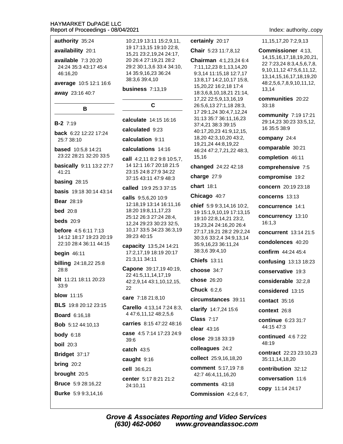### authority 35:24

### availability 20:1

available  $7:320:20$ 24:24 35:3 43:17 45:4 46:16,20

average 10:5 12:1 16:6

В

away 23:16 40:7

### $B-2$  7:19

back 6:22 12:22 17:24 25:7 38:10

**based** 10:5.8 14:21 23:22 28:21 32:20 33:5

basically 9:11 13:2 27:7 41:21

### basing  $28:15$

**basis** 19:18 30:14 43:14

**Bear 28:19** 

**bed** 20:8

beds  $20:9$ 

**before** 4:5 6:11 7:13 14:12 18:17 19:23 20:19 22:10 28:4 36:11 44:15

### begin  $46:11$

**billing** 24:18,22 25:8  $28:8$ 

bit 11:21 18:11 20:23  $33.9$ 

### **blow** 11:15

**BLS** 19:8 20:12 23:15

**Board 6:16,18** 

**Bob** 5:12 44:10,13

**body**  $6:18$ 

**boil** 20:3

Bridget 37:17

bring  $20:2$ 

brought 20:5

**Bruce** 5:9 28:16,22

**Burke** 5:9 9:3,14,16

10:2,19 13:11 15:2,9,11, 19 17:13.15 19:10 22:8. 15,21 23:2,19,24 24:17, 20 26:4 27:19,21 28:2 29:2 30:1,3,6 33:4 34:10, 14 35:9,16,23 36:24 38:3,6 39:4,10

### **business** 7:13,19

### C

calculate 14:15 16:16

calculated 9:23

calculation 9:11

### calculations 14:16

call  $4:2,118:29:810:5,7$ , 14 12:1 16:7 20:18 21:5 23:15 24:8 27:9 34:22 37:15 43:11 47:9 48:3

called 19:9 25:3 37:15

calls 9:5,6,20 10:9 12:18,19 13:14 16:11,16 18:20 19:8,11,17,23 25:12 26:3 27:24 28:4, 12.24 29:23 30:23 32:5. 10,17 33:5 34:23 36:3,19 39:23 40:15

capacity 13:5,24 14:21 17:2,17,19 18:19 20:17 21:3,11 34:11

Capone 39:17,19 40:19, 22 41:5,11,14,17,19 42:2,9,14 43:1,10,12,15, 22

care 7:18 21:8,10

Carello 4:13,14 7:24 8:3, 4 47:6,11,12 48:2,5,6

carries 8:15 47:22 48:16 case 4:5 7:14 17:23 24:9

 $39.6$ catch 43:5

caught 9:16

cell 36:6,21

(630) 462-0060

center 5:17 8:21 21:2 24:10,11

### certainly 20:17

Chair 5:23 11:7.8.12

Chairman 4:1,23,24 6:4 7:11,12,23 8:1,13,14,20 9:3,14 11:15,18 12:7,17 13:8,17 14:2,10,17 15:8, 15,20,22 16:2,18 17:4 18:3,6,8,10,18,21 21:14, 17,22 22:5,9,13,16,19 26:5,6,13 27:1,18 28:3, 17 29:1,24 30:4,7,12,24 31:13 35:7 36:11.16.23 37:4.21 38:3 39:15 40:17,20,23 41:9,12,15, 18,20 42:3,10,20 43:2, 19,21,24 44:8,19,22 46:24 47:2,7,21,22 48:3, 15,16

changed 24:22 42:18

charge 27:9

chart 18:1

### Chicago 40:7

chief 5:9 9:3,14,16 10:2, 19 15:1,9,10,19 17:13,15 19:10 22:8,14,21 23:2, 19,23,24 24:16,20 26:4 27:17,19,21 28:2 29:2,24 30:3,6 33:2,4 34:9,13,14 35:9,16,23 36:11,24 38:3,6 39:4,10

**Chiefs 13:11** 

choose 34:7

chose 26:20

Chuck  $6:2.6$ 

circumstances 39:11

clarify 14:7,24 15:6

 $Class 7:17$ 

clear 43:16

close 29:18 33:19

colleagues 24:2

collect 25:9,16,18,20

**comment** 5:17,197:8

42:7 46:4.11.16.20

comments 43:18

**Grove & Associates Reporting and Video Services** 

Commission 4:2,6 6:7,

www.groveandassoc.com

Index: authority..copy

11, 15, 17, 20 7: 2, 9, 13

**Commissioner** 4:13. 14, 15, 16, 17, 18, 19, 20, 21, 22 7:23,24 8:3,4,5,6,7,8, 9,10,11,12 47:5,6,11,12, 13, 14, 15, 16, 17, 18, 19, 20 48:2,5,6,7,8,9,10,11,12, 13.14

communities 20:22  $33:18$ 

community 7:19 17:21 29:14,23 30:23 33:5,12, 16 35:5 38:9

company 24:4

comparable 30:21

completion 46:11

comprehensive 7:5

compromise 19:2

concern 20:19 23:18

concerns 13:13

concurrence 14:1

concurrency 13:10  $16:1,3$ 

concurrent 13:14 21:5

condolences 40:20

confirm 44:24 45:4

confusing 13:13 18:23

conservative 19:3

considerable 32:2,8

considered 13:15

contact  $35:16$ 

context 26:8

continue 6:23 31:7 44:15 47:3

continued 4:6 7:22 48:19

contribution 32:12

conversation 11:6

copy 11:14 24:17

contract 22:23 23:10,23 35:11,14,18,20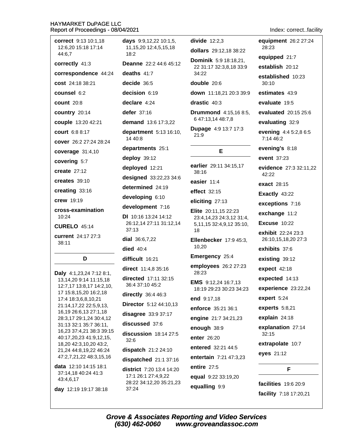| correct 9:13 10:1,18<br>12:6,20 15:18 17:14<br>44:6,7                                     | days 9:9,12,22 10:1,5,<br>11, 15, 20 12: 4, 5, 15, 18<br>18:2                     |
|-------------------------------------------------------------------------------------------|-----------------------------------------------------------------------------------|
| correctly 41:3                                                                            | <b>Deanne</b> 22:2 44:6 45:                                                       |
| correspondence 44:24                                                                      | deaths $41:7$                                                                     |
| cost 24:18 38:21                                                                          | decide 36:5                                                                       |
| <b>counsel 6:2</b>                                                                        | decision 6:19                                                                     |
| $count$ 20:8                                                                              | declare 4:24                                                                      |
| country 20:14                                                                             | defer 37:16                                                                       |
| couple 13:20 42:21                                                                        | demand 13:6 17:3,22                                                               |
| court 6:8 8:17                                                                            | department 5:13 16:1<br>14 40:8                                                   |
| cover 26:2 27:24 28:24                                                                    | departments 25:1                                                                  |
| coverage 31:4,10                                                                          | deploy 39:12                                                                      |
| covering 5:7                                                                              | deployed 12:21                                                                    |
| create $27:12$                                                                            | designed 33:22,23 34                                                              |
| creates 39:10                                                                             | determined 24:19                                                                  |
| creating 33:16                                                                            | developing 6:10                                                                   |
| <b>crew</b> 19:19                                                                         | development 7:16                                                                  |
| cross-examination<br>10:24                                                                | <b>DI</b> 10:16 13:24 14:12<br>26:12,14 27:11 31:12,1                             |
| <b>CURELO 45:14</b>                                                                       | 37:13                                                                             |
| current 24:17 27:3<br>38:11                                                               | dial $36:6,7,22$                                                                  |
|                                                                                           | died $40:4$                                                                       |
| D                                                                                         | difficult 16:21                                                                   |
| Daly 4:1,23,24 7:12 8:1,                                                                  | direct 11:4,8 35:16                                                               |
| 13,14,20 9:14 11:15,18<br>12:7,17 13:8,17 14:2,10,                                        | directed 17:11 32:15<br>36:4 37:10 45:2                                           |
| 17 15:8,15,20 16:2,18<br>17:4 18:3,6,8,10,21                                              | directly 36:4 46:3                                                                |
| 21:14,17,22 22:5,9,13,                                                                    | <b>Director</b> 5:12 44:10,13                                                     |
| 16,19 26:6,13 27:1,18<br>28:3,17 29:1,24 30:4,12                                          | disagree 33:9 37:17                                                               |
| 31:13 32:1 35:7 36:11,                                                                    | discussed 37:6                                                                    |
| 16,23 37:4,21 38:3 39:15<br>40:17,20,23 41:9,12,15,<br>18,20 42:3,10,20 43:2,             | discussion 18:14 27:<br>32:6                                                      |
| 21,24 44:8,19,22 46:24                                                                    | dispatch 21:2 24:10                                                               |
| 47:2,7,21,22 48:3,15,16                                                                   | dispatched 21:1 37:1                                                              |
| <b>data</b> 12:10 14:15 18:1<br>37:14,18 40:24 41:3<br>43:4,6,17<br>day 12:19 19:17 38:18 | district 7:20 13:4 14:2<br>17:1 26:1 27:4,9,22<br>28:22 34:12,20 35:21,2<br>37:24 |
|                                                                                           |                                                                                   |

divide  $12:2,3$ dollars 29:12.18 38:22 **Dominik** 5:9 18:18,21,  $5:12$ 22 31:17 32:3,8,18 33:9 34:22 double 20:6 down 11:18,21 20:3 39:9 drastic 40:3 **Drummond** 4:15.16 8:5. 6 47:13,14 48:7,8 Dupage 4:9 13:7 17:3  $:10,$  $21:9$ E earlier 29:11 34:15,17 38:16  $34:6$ easier 11:4 effect 32:15 eliciting 27:13 Elite 20:11,15 22:23 23:4,14,23 24:3,12 31:4,  $2.14$ 5,11,15 32:4,9,12 35:10, 18 Ellenbecker 17:9 45:3, 10,20 Emergency 25:4 employees 26:2 27:23 28:23 EMS 9:12,24 16:7,13 18:19 29:23 30:23 34:23 end 9:17,18 13 enforce 35:21 36:1 engine 21:7 34:21,23 enough 38:9  $7:5$ enter 26:20 entered 32:21 44:5 entertain 7:21 47:3,23 16 entire 27:5 20 equal 9:22 33:19,20 ,23 equalling 9:9

equipment 26:2 27:24 28:23 equipped 21:7 establish 20:12 established 10:23  $30:10$ estimates 43:9 evaluate 19:5 evaluated 20:15 25:6 evaluating 32:9 evening 4:4 5:2,8 6:5 7:14 46:2 evening's 8:18 event 37:23 evidence 27:3 32:11,22 42:22 exact 28:15 Exactly 43:22 exceptions 7:16 exchange 11:2 **Excuse 10:22** exhibit 22:24 23:3 26:10,15,18,20 27:3 exhibits 37:6 existing 39:12 expect 42:18 expected 14:13 experience 23:22,24 expert 5:24 experts 5:8,21

Index: correct..facility

explain 24:18

explanation 27:14  $32:15$ 

extrapolate 10:7 eyes 21:12

F

facilities 19:6 20:9 facility 7:18 17:20,21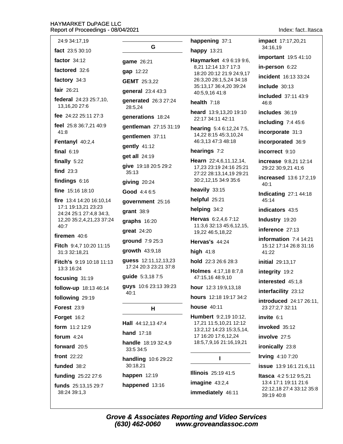| 24:9 34:17,19                                                                                                  |
|----------------------------------------------------------------------------------------------------------------|
| fact $23:530:10$                                                                                               |
| factor $34:12$                                                                                                 |
| factored 32:6                                                                                                  |
| factory 34:3                                                                                                   |
| fair 26:21                                                                                                     |
| federal 24:23 25:7,10,<br>13,16,20 27:6                                                                        |
| fee 24:22 25:11 27:3                                                                                           |
| feel 25:8 36:7,21 40:9<br>41:8                                                                                 |
| Fentanyl 40:2,4                                                                                                |
| final $6:19$                                                                                                   |
| finally 5:22                                                                                                   |
| find $23:3$                                                                                                    |
| findings $6:16$                                                                                                |
| fine $15:16$ 18:10                                                                                             |
| fire 13:4 14:20 16:10,14<br>17:1 19:13,21 23:23<br>24:24 25:1 27:4,8 34:3,<br>12,20 35:2,4,21,23 37:24<br>40:7 |
| firemen 40:6                                                                                                   |
| Fitch 9:4,7 10:20 11:15<br>31:3 32:18,21                                                                       |
| Fitch's 9:19 10:18 11:13<br>13:3 16:24                                                                         |
| focusing 31:19                                                                                                 |
| follow-up 18:13 46:14                                                                                          |
| following 29:19                                                                                                |
| <b>Forest 23:9</b>                                                                                             |
| Forget 16:2                                                                                                    |
| form 11:2 12:9                                                                                                 |
| forum $4:24$                                                                                                   |
| forward 20:5                                                                                                   |
| front 22:22                                                                                                    |
| funded 38:2                                                                                                    |
| funding 25:22 27:6                                                                                             |
| funds 25:13,15 29:7<br>38:24 39:1.3                                                                            |

G game 26:21 gap 12:22 **GEMT** 25:3.22 general 23:4 43:3 generated 26:3 27:24 28:5,24 generations 18:24 gentleman 27:15 31:19 qentlemen 37:11 gently 41:12 get all 24:19 give 19:18 20:5 29:2  $35:13$ giving 20:24 Good 4:4 6:5 qovernment 25:16  $<sub>q</sub>$ rant  $38:9$ </sub> graphs 16:20 great 24:20 ground 7:9 25:3 growth  $43:9,18$ guess 12:11,12,13,23 17:24 20:3 23:21 37:8 quide 5:3,187:5 guys 10:6 23:13 39:23  $40:1$ н Hall 44:12,13 47:4 **hand** 17:18 handle 18:19 32:4,9 33:5 34:5 **handling** 10:6 29:22 30:18.21 happen 12:19

happened 13:16

### happening 37:1 happy 13:21

```
Haymarket 4:9 6:19 9:6,
8,21 12:14 13:7 17:3
18:20 20:12 21:9 24:9,17
26:3,20 28:1,5,24 34:18
35:13,17 36:4,20 39:24
40:5,9,16 41:8
```
### health  $7:18$

heard 13:9.13.20 19:10 22:17 34:11 42:11

hearing 5:4 6:12,24 7:5, 14,22 8:15 45:3,10,24 46:3,13 47:3 48:18

### hearings 7:2

Hearn 22:4,6,11,12,14, 17,23 23:19 24:16 25:21 27:22 28:13,14,19 29:21 30:2,12,15 34:9 35:6

heavily 33:15

helpful 25:21

helping 34:2

Hervas 6:2,4,67:12 11:3,6 32:13 45:6,12,15, 19,22 46:5,18,22

### Hervas's 44:24

high  $41:8$ 

hold 22:3 26:6 28:3

Holmes 4:17,18 8:7,8 47:15,16 48:9,10

hour 12:3 19:9,13,18

hours 12:18 19:17 34:2

### **house** 40:11

Humbert 9:2,19 10:12, 17,21 11:5,10,21 12:12 13:2,12 14:23 15:3,5,14, 17 16:20 17:6,12,24 18:5,7,9,16 21:16,19,21

### $\mathbf{I}$

**Illinois** 25:19 41:5 imagine  $43:2,4$ immediately 46:11 **impact** 17:17,20,21 34:16.19 **important** 19:5 41:10

in-person 6:22

incident 16:13 33:24

include  $30:13$ 

included 37:11 43:9 46:8

includes 36:19

including  $7:445:6$ 

incorporate 31:3

incorporated 36:9

incorrect 9:10

increase 9:8.21 12:14 29:22 30:9,21 41:6

**increased** 13:6 17:2.19  $40:1$ 

**Indicating 27:1 44:18** 45:14

indicators 43:5

Industry 19:20

inference 27:13

information  $7:4$  14:21 15:12 17:14 26:8 31:16 41:22

initial 29:13,17

integrity 19:2

interested 45:1,8

interfacility 23:12

**introduced** 24:17 26:11, 23 27:2,7 32:11

invite 6:1

invoked 35:12

involve 27:5

ironically 23:8

**Irving**  $4:107:20$ 

**issue** 13:9 16:1 21:6,11

**Itasca** 4:2 5:12 9:5,21 13:4 17:1 19:11 21:6 22:12,18 27:4 33:12 35:8 39:19 40:8

### Index: fact..Itasca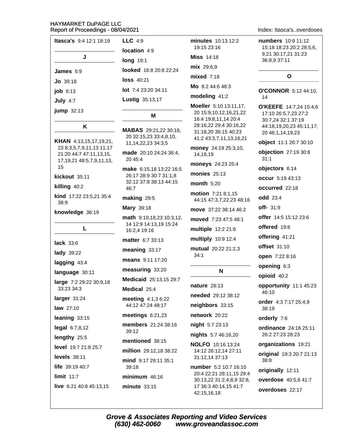| <b>Itasca's</b> 9:4 12:1 18:19 |
|--------------------------------|
| J                              |
| James $5:9$                    |
| $Jo$ 39:18                     |
| job 6:13                       |
| July $4:7$                     |
| <b>jump</b> 32:13              |

### K

KHAN 4:13,15,17,19,21, 23 8:3,5,7,9,11,13 11:17 21:20 44:7 47:11,13,15, 17, 19, 21 48: 5, 7, 9, 11, 13, 15

kickout 35:11

killing 40:2

kind 17:22 23:5,21 35:4  $38:9$ 

L

knowledge 36:19

lack  $33:6$ **lady** 39:22 lagging 43:4 language 30:11 large 7:2 29:22 30:9,18 33:23 34:3 larger  $31:24$ **law** 27:10 leaning 33:15  $legal 6:7,8,12$ lengthy 25:5 level 19:7 21:8 25:7 levels  $38:11$ life 39:19 40:7 limit  $11:7$ live 6:21 40:8 45:13,15

 $LLC$  4:9 location 4:9 **long** 19:1 looked 16:8 20:8 22:24 **loss 40:21** lot 7:4 23:20 34:11 **Lustig 35:13,17** 

### м

MABAS 29:21,22 30:18, 20 32:15,23 33:4,8,10, 11, 14, 22, 23 34: 3, 5 made 20:10 24:24 36:4. 20 45:4 make 6:15,18 13:22 16:5 26:17 28:9 30:7 31:1,8 32:12 37:8 38:13 44:15 46:7 making 29:5 Mary 39:18 math 9:10.18.23 10:3.12. 14 12:9 14:13.19 15:24 16:2,4 19:16 matter 6:7 33:13 meaning 33:17 means 9:11 17:20

measuring 33:20

Medicaid 25:13,15 29:7

Medical 25:4

meeting 4:1,3 6:22 44:12 47:24 48:17

meetings  $6:21,23$ 

members 21:24 38:16  $39:12$ 

mentioned 38:15

million 29:12.18 38:22 mind 9:17 29:11 35:1 39:18  $minimum$  46:16

minute  $33:15$ 

minutes 10:13 12:2 19:15 23:16 **Miss** 14:18 mix 29:6,9  $mixed$  7:18

Mo 8:2 44:6 48:3

### modeling 41:2

Moeller 5:10 13:11.17. 20 15:9.10.12.16.21.22 16:4 19:8,11,14 20:4 28:16,22 29:4 30:16,22 31:18.20 36:15 40:23 41:2 43:3,7,11,13,16,21

money 24:19 25:3,10, 14,18,19

moneys 24:23 25:4

monies  $25:13$ 

month  $5:20$ 

motion 7:21 8:1,15 44:15 47:3,7,22,23 48:16 move 37:22 38:14 46:2 moved 7:23 47:5 48:1 multiple 12:2 21:6 multiply 10:9 12:4 mutual 20:22 21:2.3  $34:1$ 

### N

**nature** 28:13

needed 29:12 38:12

neighbors 33:15

network 20:22

night 5:7 23:13

nights 5:7 46:16,20

**NOLFO** 10:16 13:24 14:12 26:12,14 27:11 31:12,14 37:13

number 5:2 10:7 16:10 20:4 22:21 28:11,15 29:4 30:13,22 31:2,4,8,9 32:8, 17 36:3 40:14.15 41:7 42:15,16,18

### Index: Itasca's..overdoses

numbers 10:9 11:12 15:18 18:23 20:2 28:5.6. 9,21 30:17,21 31:23 36:8,9 37:11

### $\Omega$

O'CONNOR 5:12 44:10. 14

O'KEEFE 14:7,24 15:4,6 17:10 26:5,7,23 27:2 30:7,24 32:1 37:19 44:18,19,20,23 45:11,17, 20 46:1,14,19,23

object 11:1 26:7 30:10

**objection** 27:19 30:8  $31:1$ 

objectors 6:14

occur 5:19 43:13

occurred 22:18

odd 23:4

off- 31:9

offer 14:5 15:12 23:6

offered 19:6

offering 41:21

**offset** 31:10

open 7:22 8:16

- opening 6:3
- opioid 40:2

opportunity 11:1 45:23  $46.10$ 

order 4:3 7:17 25:4.9 38:19

orderly 7:6

ordinance 24:18 25:11 26:2 27:23 28:23

organizations 19:21

original 19:3 20:7 21:13 38:8

originally 12:11

overdose 40:5,6 41:7

overdoses 22:17

**Grove & Associates Reporting and Video Services** (630) 462-0060 www.groveandassoc.com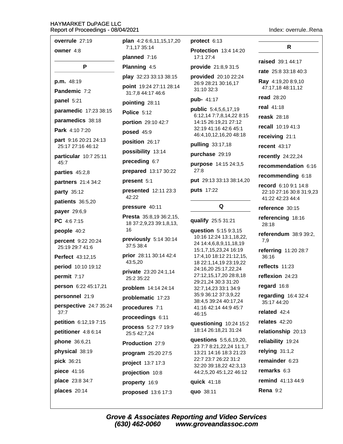| overrule 27:19                        | plan 4:2 6:6,11,15,17,20                     | protect 6:13                                     |                                              |
|---------------------------------------|----------------------------------------------|--------------------------------------------------|----------------------------------------------|
| owner 4:8                             | 7:1.17 35:14                                 | <b>Protection 13:4 14:20</b>                     | R                                            |
|                                       | planned 7:16                                 | 17:1 27:4                                        | raised 39:1 44:17                            |
| P                                     | Planning 4:5                                 | provide 21:8,9 31:5                              | rate 25:8 33:18 40:3                         |
| p.m. 48:19                            | play 32:23 33:13 38:15                       | provided 20:10 22:24                             | Ray 4:19,20 8:9,10                           |
| Pandemic 7:2                          | point 19:24 27:11 28:14<br>31:7,8 44:17 46:6 | 26:9 28:21 30:16,17<br>31:10 32:3                | 47:17,18 48:11,12                            |
| panel 5:21                            | pointing 28:11                               | pub- 41:17                                       | <b>read</b> 28:20                            |
| paramedic 17:23 38:15                 | Police 5:12                                  | public 5:4,5,6,17,19                             | real 41:18                                   |
| paramedics 38:18                      | portion 29:10 42:7                           | 6:12,14 7:7,8,14,22 8:15<br>14:15 26:19,21 27:12 | <b>reask</b> 28:18                           |
| Park 4:10 7:20                        | posed 45:9                                   | 32:19 41:16 42:6 45:1                            | recall 10:19 41:3                            |
| part 9:16 20:21 24:13                 | position 26:17                               | 46:4,10,12,16,20 48:18                           | receiving 21:1                               |
| 25:17 27:16 46:12                     | possibility 13:14                            | pulling 33:17,18                                 | recent $43:17$                               |
| particular 10:7 25:11                 | preceding 6:7                                | purchase 29:19                                   | recently 24:22,24                            |
| 45:7                                  | prepared 13:17 30:22                         | purpose 14:15 24:3,5<br>27:8                     | recommendation 6:16                          |
| parties 45:2,8                        | present 5:1                                  | put 29:13 33:13 38:14,20                         | recommending 6:18                            |
| partners 21:4 34:2                    | presented 12:11 23:3                         | puts 17:22                                       | record 6:10 9:1 14:8                         |
| party 35:12                           | 42:22                                        |                                                  | 22:10 27:16 30:8 31:9,23<br>41:22 42:23 44:4 |
| patients 36:5,20                      | pressure 40:11                               | Q                                                | reference 30:15                              |
| payer 29:6,9                          | Presta 35:8,19 36:2,15,                      |                                                  | referencing 18:16                            |
| PC 4:67:15                            | 18 37:2,9,23 39:1,8,13,                      | qualify 25:5 31:21                               | 28:18                                        |
| people 40:2                           | 16                                           | question 5:15 9:3,15<br>10:16 12:24 13:1,18,22,  | referendum 38:9 39:2,                        |
| percent 9:22 20:24<br>25:19 29:7 41:6 | previously 5:14 30:14<br>37:5 38:4           | 24 14:4,6,8,9,11,18,19                           | 7,9                                          |
| Perfect 43:12,15                      | prior 28:11 30:14 42:4                       | 15:1,7,15,23,24 16:19<br>17:4,10 18:12 21:12,15, | referring 11:20 28:7<br>36:16                |
|                                       | 43:5,20                                      | 18 22:1,14,19 23:19,22                           | reflects 11:23                               |
| period 10:10 19:12                    | private 23:20 24:1,14                        | 24:16,20 25:17,22,24<br>27:12,15,17,20 28:8,18   |                                              |
| permit 7:17                           | 25:2 35:22                                   | 29:21,24 30:3 31:20                              | reflexion 24:23                              |
| person 6:22 45:17,21                  | problem 14:14 24:14                          | 32:7,14,23 33:1 34:9<br>35:9 36:12 37:3,9,22     | regard 16:8                                  |
| personnel 21:9                        | problematic 17:23                            | 38:4,5 39:24 40:17,24                            | regarding 16:4 32:4<br>35:17 44:20           |
| perspective 24:7 35:24<br>37:7        | procedures 7:1                               | 41:16 42:14 44:9 45:7                            | related 42:4                                 |
| petition 6:12,19 7:15                 | proceedings 6:11                             | 46:15                                            | relates 42:20                                |
| petitioner 4:8 6:14                   | process 5:2 7:7 19:9                         | questioning 10:24 15:2<br>18:14 26:18,21 31:24   | relationship 20:13                           |
| phone 36:6,21                         | 25:5 42:7,24                                 | questions 5:5,6,19,20,                           | reliability 19:24                            |
| physical 38:19                        | Production 27:9                              | 23 7:7 8:21, 22, 24 11:1, 7                      | relying $31:1,2$                             |
| pick 36:21                            | program 25:20 27:5                           | 13:21 14:16 18:3 21:23<br>22:7 23:7 26:22 31:2   | remainder 6:23                               |
|                                       | project 13:7 17:3                            | 32:20 39:18,22 42:3,13                           | remarks 6:3                                  |
| piece 41:16                           | projection 10:8                              | 44:2,5,20 45:1,22 46:12                          |                                              |
| place 23:8 34:7                       | property 16:9                                | quick 41:18                                      | remind 41:13 44:9                            |
| places 20:14                          | proposed 13:6 17:3                           | quo 38:11                                        | <b>Rena</b> 9:2                              |

### Index: overrule..Rena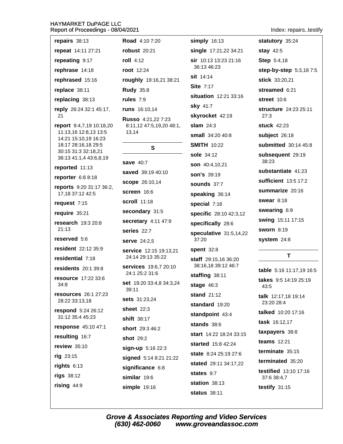| repairs 38:13                                                                                                                                     |
|---------------------------------------------------------------------------------------------------------------------------------------------------|
| repeat 14:11 27:21                                                                                                                                |
| repeating 9:17                                                                                                                                    |
| rephrase 14:18                                                                                                                                    |
| rephrased 15:16                                                                                                                                   |
| replace 38:11                                                                                                                                     |
| replacing 38:13                                                                                                                                   |
| reply 26:24 32:1 45:17,<br>21                                                                                                                     |
| report 9:4,7,19 10:18,20<br>11:13,16 12:8,13 13:5<br>14:21 15:10,19 16:23<br>18:17 28:16,18 29:5<br>30:15 31:3 32:18,21<br>36:13 41:1,4 43:6,8,19 |
| reported 11:13                                                                                                                                    |
| reporter 6:8 8:18                                                                                                                                 |
| reports 9:20 31:17 36:2,<br>17,18 37:12 42:5                                                                                                      |
| request 7:15                                                                                                                                      |
| require 35:21                                                                                                                                     |
| research 19:3 20:8<br>21:13                                                                                                                       |
| reserved 5:6                                                                                                                                      |
| resident 22:12 35:9                                                                                                                               |
| residential 7:18                                                                                                                                  |
| residents 20:1 39:8                                                                                                                               |
| resource 17:22 33:6<br>34:8                                                                                                                       |
| resources 26:1 27:23<br>28:22 33:13,18                                                                                                            |
| respond 5:24 26:12<br>31:12 35:4 45:23                                                                                                            |
| response 45:10 47:1                                                                                                                               |
| resulting 16:7                                                                                                                                    |
| review 35:10                                                                                                                                      |
| rig 23:15                                                                                                                                         |
| rights 6:13                                                                                                                                       |
| rigs 38:12                                                                                                                                        |
| rising 44:9                                                                                                                                       |

| <b>Road</b> 4:10 7:20                                   | ś                    |
|---------------------------------------------------------|----------------------|
| <b>robust</b> 20:21                                     | Ś                    |
| roll $4:12$                                             | ś                    |
| <b>root</b> 12:24                                       |                      |
| <b>roughly</b> 19:16,21 38:21                           | ś                    |
| <b>Rudy 35:8</b>                                        | ś                    |
| rules $7:9$                                             | ś                    |
| runs 16:10,14                                           | Ś                    |
| Russo 4:21,22 7:23<br>8:11,12 47:5,19,20 48:1,<br>13,14 | ś<br>ś<br>ś          |
| S                                                       | $\ddot{\phantom{0}}$ |
| <b>save 40:7</b>                                        | ś<br>ś               |
| saved 39:19 40:10                                       | ś                    |
| <b>scope</b> 26:10,14                                   | ś                    |
| screen 16:6                                             | ś                    |
| <b>scroll</b> 11:18                                     | ś                    |
| secondary 31:5                                          | ٤                    |
| secretary 4:11 47:9                                     | ś                    |
| series 22:7                                             | ś                    |
| <b>serve</b> 24:2,5                                     |                      |
| <b>service</b> 12:15 19:13,21<br>24:14 29:13 35:22      | ś<br>ś               |
| <b>services</b> 19:6,7 20:10<br>24:1 25:2 31:6          | ś                    |
| <b>set</b> 19:20 33:4,8 34:3,24<br>39:11                | ś                    |
| sets 31:23,24                                           | Ś                    |
| sheet $22:3$                                            | Ś                    |
| shift 38:17                                             | Ś                    |
| short 29:3 46:2                                         | Ś                    |
| <b>shot</b> 29:2                                        | ś                    |
| sign-up 5:16 22:3                                       | Ś                    |
| signed 5:14 8:21 21:22                                  | ś                    |
| significance 6:8                                        | Ś                    |
| similar 19:6                                            | Ś                    |
| simple 19:16                                            | Ś                    |

simply 16:13 single 17:21,22 34:21 sir 10:13 13:23 21:16 36:13 46:23 sit 14:14 Site 7:17 situation 12:21 33:16 sky 41:7 skyrocket 42:19 slam  $24:3$ small 34:20 40:8 **SMITH 10:22** sole 34:12 son 40:4.10.21 **son's** 39:19 sounds 37:7 speaking 36:14 special 7:16 specific 28:10 42:3,12 specifically 28:6 speculative 31:5,14,22 37:20 spent 32:8 staff 29:15.16 36:20 38:16,18 39:12 46:7 staffing 38:11 stage  $46:3$ stand  $21:12$ standard 19:20 standpoint 43:4 stands  $38:6$ start 14:22 18:24 33:15 started  $15.842.24$ state 8:24 25:19 27:6 stated 29:11 34:17,22 states 9:7 station 38:13 **status** 38:11

Index: repairs..testify

statutory 35:24 stay 42:5 **Step 5:4.18** step-by-step 5:3,187:5 stick 33:20,21 streamed 6:21 street 10:6 structure 24:23 25:11  $27:3$ stuck 42:23 subject 26:18 submitted 30:14 45:8 subsequent 29:19 38:23 substantiate 41:23 sufficient 13:5 17:2 summarize 20:16 swear  $8:18$ swearing 6:9 swing 15:11 17:15 **sworn 8:19** system 24:8 T table 5:16 11:17,19 16:5 takes 9:5 14:19 25:19 43:5 talk 12:17,18 19:14 23:20 28:4 talked 10:20 17:16 **task**  $16:12,17$ taxpayers 38:8 **teams** 12:21 terminate 35:15

terminated 35:20

**testified** 13:10 17:16 37:6 38:4.7

testify  $31:15$